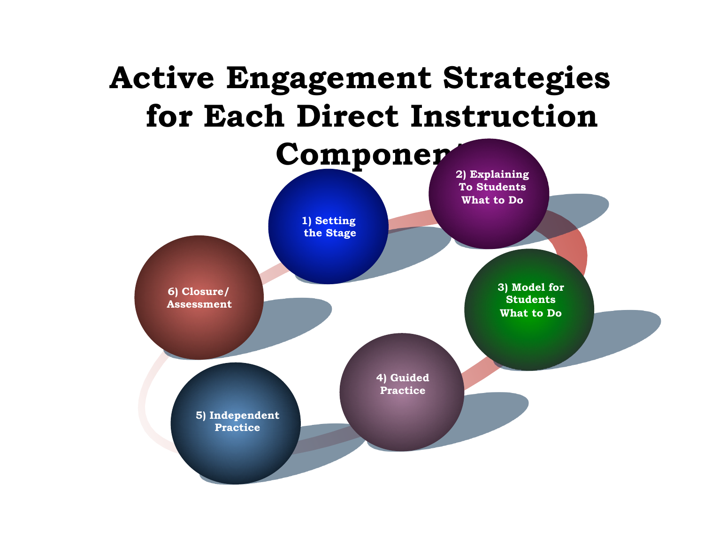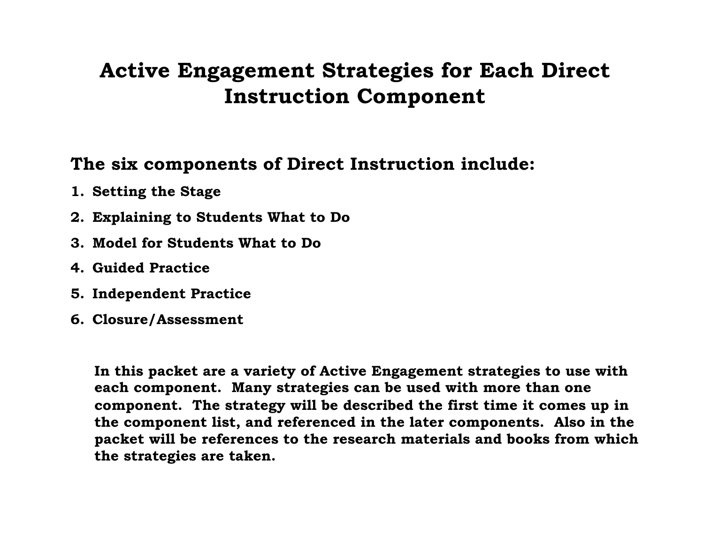## **Active Engagement Strategies for Each Direct Instruction Component**

### **The six components of Direct Instruction include:**

- **1. Setting the Stage**
- **2. Explaining to Students What to Do**
- **3. Model for Students What to Do**
- **4. Guided Practice**
- **5. Independent Practice**
- **6. Closure/Assessment**

**In this packet are a variety of Active Engagement strategies to use with each component. Many strategies can be used with more than one component. The strategy will be described the first time it comes up in the component list, and referenced in the later components. Also in the packet will be references to the research materials and books from which the strategies are taken.**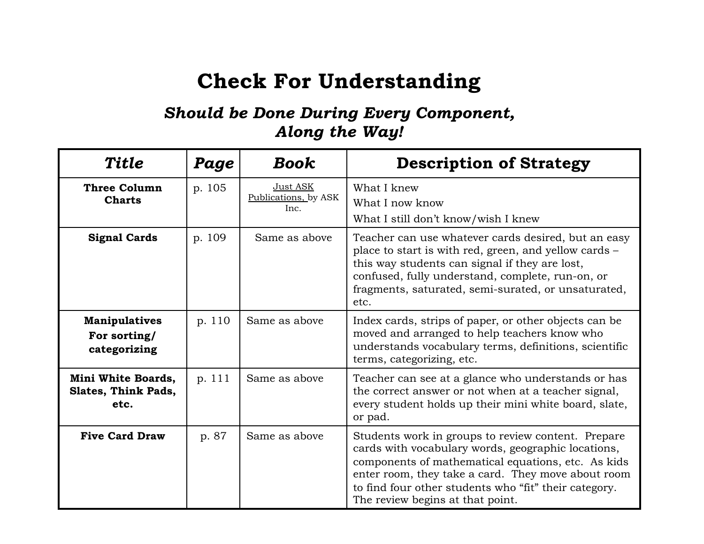## **Check For Understanding**

#### *Should be Done During Every Component, Along the Way!*

| <b>Title</b>                                         | Page   | <b>Book</b>                              | <b>Description of Strategy</b>                                                                                                                                                                                                                                                                                    |
|------------------------------------------------------|--------|------------------------------------------|-------------------------------------------------------------------------------------------------------------------------------------------------------------------------------------------------------------------------------------------------------------------------------------------------------------------|
| <b>Three Column</b><br><b>Charts</b>                 | p. 105 | Just ASK<br>Publications, by ASK<br>Inc. | What I knew<br>What I now know<br>What I still don't know/wish I knew                                                                                                                                                                                                                                             |
| <b>Signal Cards</b>                                  | p. 109 | Same as above                            | Teacher can use whatever cards desired, but an easy<br>place to start is with red, green, and yellow cards –<br>this way students can signal if they are lost,<br>confused, fully understand, complete, run-on, or<br>fragments, saturated, semi-surated, or unsaturated,<br>etc.                                 |
| <b>Manipulatives</b><br>For sorting/<br>categorizing | p. 110 | Same as above                            | Index cards, strips of paper, or other objects can be<br>moved and arranged to help teachers know who<br>understands vocabulary terms, definitions, scientific<br>terms, categorizing, etc.                                                                                                                       |
| Mini White Boards,<br>Slates, Think Pads,<br>etc.    | p. 111 | Same as above                            | Teacher can see at a glance who understands or has<br>the correct answer or not when at a teacher signal,<br>every student holds up their mini white board, slate,<br>or pad.                                                                                                                                     |
| <b>Five Card Draw</b>                                | p. 87  | Same as above                            | Students work in groups to review content. Prepare<br>cards with vocabulary words, geographic locations,<br>components of mathematical equations, etc. As kids<br>enter room, they take a card. They move about room<br>to find four other students who "fit" their category.<br>The review begins at that point. |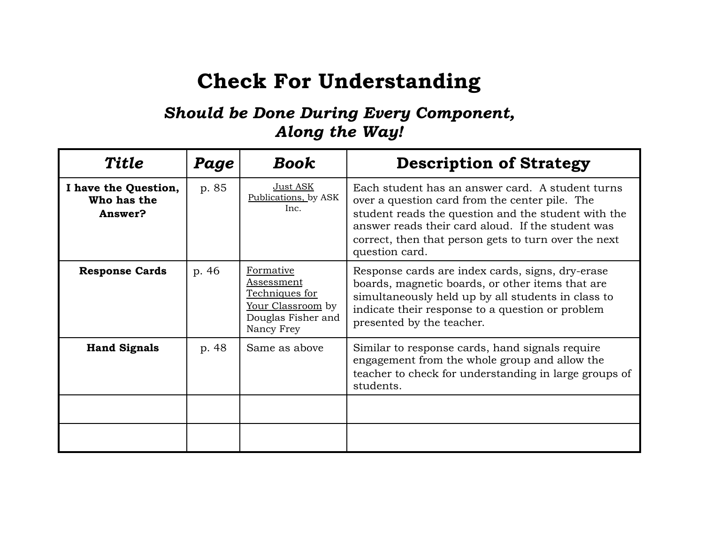## **Check For Understanding**

#### *Should be Done During Every Component, Along the Way!*

| <b>Title</b>                                   | Page  | <b>Book</b>                                                                                               | <b>Description of Strategy</b>                                                                                                                                                                                                                                                           |
|------------------------------------------------|-------|-----------------------------------------------------------------------------------------------------------|------------------------------------------------------------------------------------------------------------------------------------------------------------------------------------------------------------------------------------------------------------------------------------------|
| I have the Question,<br>Who has the<br>Answer? | p. 85 | Just ASK<br>Publications, by ASK<br>Inc.                                                                  | Each student has an answer card. A student turns<br>over a question card from the center pile. The<br>student reads the question and the student with the<br>answer reads their card aloud. If the student was<br>correct, then that person gets to turn over the next<br>question card. |
| <b>Response Cards</b>                          | p. 46 | Formative<br><b>Assessment</b><br>Techniques for<br>Your Classroom by<br>Douglas Fisher and<br>Nancy Frey | Response cards are index cards, signs, dry-erase<br>boards, magnetic boards, or other items that are<br>simultaneously held up by all students in class to<br>indicate their response to a question or problem<br>presented by the teacher.                                              |
| <b>Hand Signals</b>                            | p. 48 | Same as above                                                                                             | Similar to response cards, hand signals require<br>engagement from the whole group and allow the<br>teacher to check for understanding in large groups of<br>students.                                                                                                                   |
|                                                |       |                                                                                                           |                                                                                                                                                                                                                                                                                          |
|                                                |       |                                                                                                           |                                                                                                                                                                                                                                                                                          |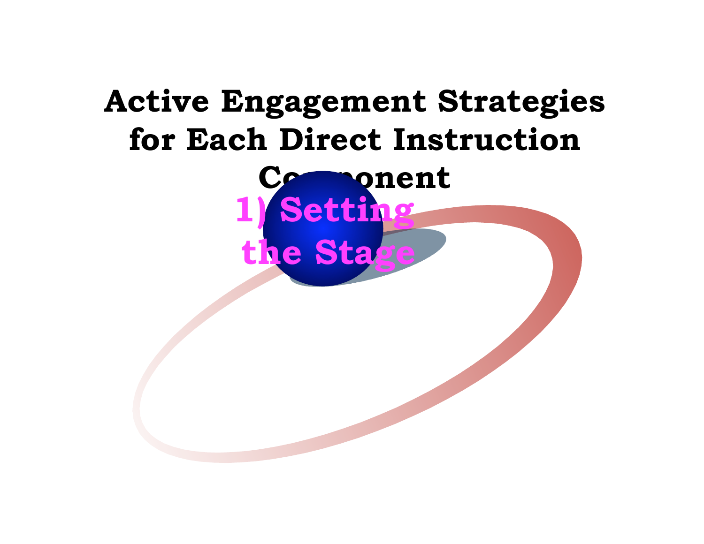## **Active Engagement Strategies for Each Direct Instruction**

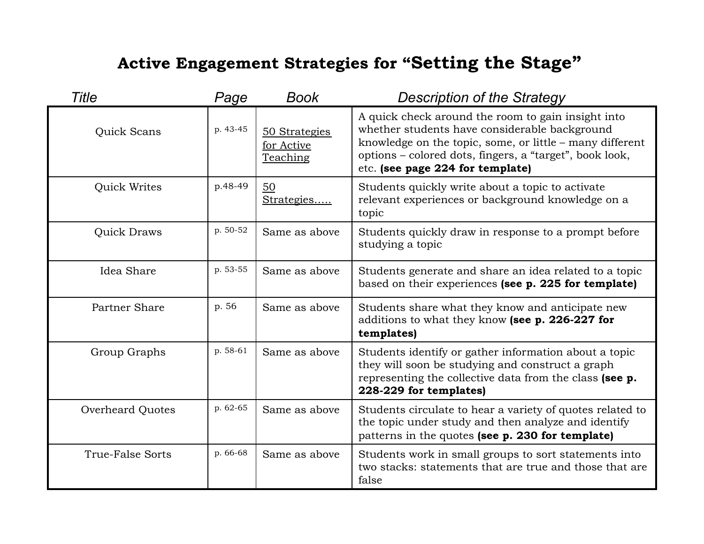| Title                   | Page     | Book                                    | <b>Description of the Strategy</b>                                                                                                                                                                                                                             |
|-------------------------|----------|-----------------------------------------|----------------------------------------------------------------------------------------------------------------------------------------------------------------------------------------------------------------------------------------------------------------|
| Quick Scans             | p. 43-45 | 50 Strategies<br>for Active<br>Teaching | A quick check around the room to gain insight into<br>whether students have considerable background<br>knowledge on the topic, some, or little - many different<br>options - colored dots, fingers, a "target", book look,<br>etc. (see page 224 for template) |
| <b>Quick Writes</b>     | p.48-49  | 50<br>Strategies                        | Students quickly write about a topic to activate<br>relevant experiences or background knowledge on a<br>topic                                                                                                                                                 |
| <b>Quick Draws</b>      | p. 50-52 | Same as above                           | Students quickly draw in response to a prompt before<br>studying a topic                                                                                                                                                                                       |
| Idea Share              | p. 53-55 | Same as above                           | Students generate and share an idea related to a topic<br>based on their experiences (see p. 225 for template)                                                                                                                                                 |
| Partner Share           | p. 56    | Same as above                           | Students share what they know and anticipate new<br>additions to what they know (see p. 226-227 for<br>templates)                                                                                                                                              |
| Group Graphs            | p. 58-61 | Same as above                           | Students identify or gather information about a topic<br>they will soon be studying and construct a graph<br>representing the collective data from the class (see p.<br>228-229 for templates)                                                                 |
| <b>Overheard Quotes</b> | p. 62-65 | Same as above                           | Students circulate to hear a variety of quotes related to<br>the topic under study and then analyze and identify<br>patterns in the quotes (see p. 230 for template)                                                                                           |
| True-False Sorts        | p. 66-68 | Same as above                           | Students work in small groups to sort statements into<br>two stacks: statements that are true and those that are<br>false                                                                                                                                      |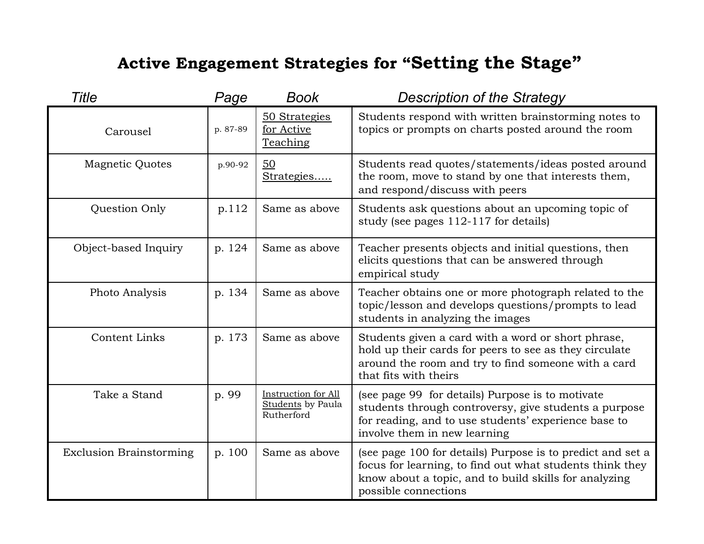| <b>Title</b>                   | Page     | <b>Book</b>                                                          | <b>Description of the Strategy</b>                                                                                                                                                                      |
|--------------------------------|----------|----------------------------------------------------------------------|---------------------------------------------------------------------------------------------------------------------------------------------------------------------------------------------------------|
| Carousel                       | p. 87-89 | 50 Strategies<br>for Active<br>Teaching                              | Students respond with written brainstorming notes to<br>topics or prompts on charts posted around the room                                                                                              |
| <b>Magnetic Quotes</b>         | p.90-92  | 50<br>Strategies                                                     | Students read quotes/statements/ideas posted around<br>the room, move to stand by one that interests them,<br>and respond/discuss with peers                                                            |
| Question Only                  | p.112    | Same as above                                                        | Students ask questions about an upcoming topic of<br>study (see pages 112-117 for details)                                                                                                              |
| Object-based Inquiry           | p. 124   | Same as above                                                        | Teacher presents objects and initial questions, then<br>elicits questions that can be answered through<br>empirical study                                                                               |
| Photo Analysis                 | p. 134   | Same as above                                                        | Teacher obtains one or more photograph related to the<br>topic/lesson and develops questions/prompts to lead<br>students in analyzing the images                                                        |
| <b>Content Links</b>           | p. 173   | Same as above                                                        | Students given a card with a word or short phrase,<br>hold up their cards for peers to see as they circulate<br>around the room and try to find someone with a card<br>that fits with theirs            |
| Take a Stand                   | p. 99    | <b>Instruction for All</b><br><b>Students</b> by Paula<br>Rutherford | (see page 99 for details) Purpose is to motivate<br>students through controversy, give students a purpose<br>for reading, and to use students' experience base to<br>involve them in new learning       |
| <b>Exclusion Brainstorming</b> | p. 100   | Same as above                                                        | (see page 100 for details) Purpose is to predict and set a<br>focus for learning, to find out what students think they<br>know about a topic, and to build skills for analyzing<br>possible connections |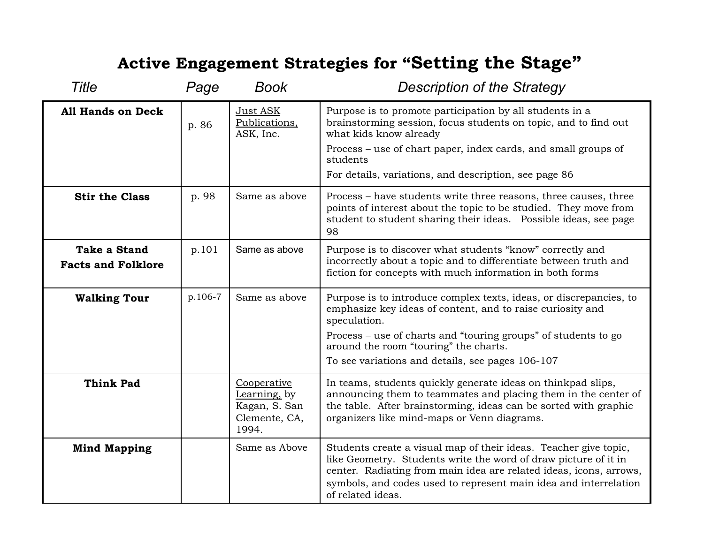| Title                                            | Page    | Book                                                                   | <b>Description of the Strategy</b>                                                                                                                                                                                                                                                                 |
|--------------------------------------------------|---------|------------------------------------------------------------------------|----------------------------------------------------------------------------------------------------------------------------------------------------------------------------------------------------------------------------------------------------------------------------------------------------|
| <b>All Hands on Deck</b>                         | p. 86   | Just ASK<br>Publications,<br>ASK, Inc.                                 | Purpose is to promote participation by all students in a<br>brainstorming session, focus students on topic, and to find out<br>what kids know already<br>Process – use of chart paper, index cards, and small groups of                                                                            |
|                                                  |         |                                                                        | students<br>For details, variations, and description, see page 86                                                                                                                                                                                                                                  |
| <b>Stir the Class</b>                            | p. 98   | Same as above                                                          | Process – have students write three reasons, three causes, three<br>points of interest about the topic to be studied. They move from<br>student to student sharing their ideas. Possible ideas, see page<br>98                                                                                     |
| <b>Take a Stand</b><br><b>Facts and Folklore</b> | p.101   | Same as above                                                          | Purpose is to discover what students "know" correctly and<br>incorrectly about a topic and to differentiate between truth and<br>fiction for concepts with much information in both forms                                                                                                          |
| <b>Walking Tour</b>                              | p.106-7 | Same as above                                                          | Purpose is to introduce complex texts, ideas, or discrepancies, to<br>emphasize key ideas of content, and to raise curiosity and<br>speculation.                                                                                                                                                   |
|                                                  |         |                                                                        | Process – use of charts and "touring groups" of students to go<br>around the room "touring" the charts.                                                                                                                                                                                            |
|                                                  |         |                                                                        | To see variations and details, see pages 106-107                                                                                                                                                                                                                                                   |
| <b>Think Pad</b>                                 |         | Cooperative<br>Learning, by<br>Kagan, S. San<br>Clemente, CA,<br>1994. | In teams, students quickly generate ideas on thinkpad slips,<br>announcing them to teammates and placing them in the center of<br>the table. After brainstorming, ideas can be sorted with graphic<br>organizers like mind-maps or Venn diagrams.                                                  |
| <b>Mind Mapping</b>                              |         | Same as Above                                                          | Students create a visual map of their ideas. Teacher give topic,<br>like Geometry. Students write the word of draw picture of it in<br>center. Radiating from main idea are related ideas, icons, arrows,<br>symbols, and codes used to represent main idea and interrelation<br>of related ideas. |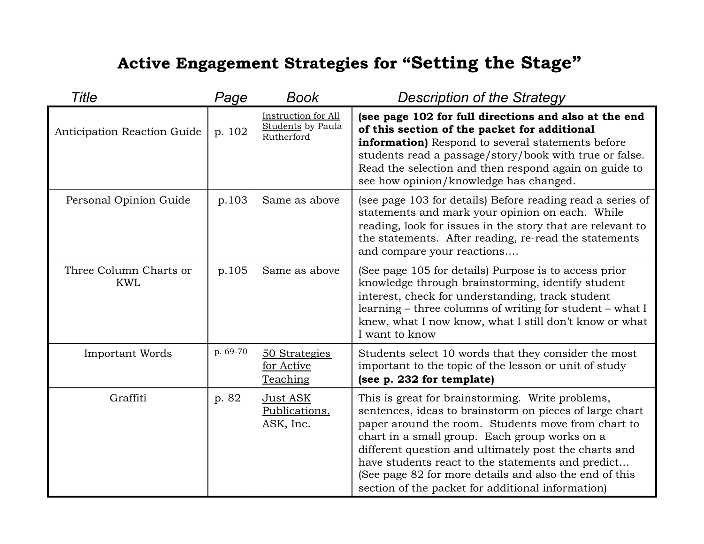| Title                                | Page     | Book                                                          | <b>Description of the Strategy</b>                                                                                                                                                                                                                                                                                                                                                                                                              |
|--------------------------------------|----------|---------------------------------------------------------------|-------------------------------------------------------------------------------------------------------------------------------------------------------------------------------------------------------------------------------------------------------------------------------------------------------------------------------------------------------------------------------------------------------------------------------------------------|
| Anticipation Reaction Guide          | p. 102   | Instruction for All<br><b>Students</b> by Paula<br>Rutherford | (see page 102 for full directions and also at the end<br>of this section of the packet for additional<br>information) Respond to several statements before<br>students read a passage/story/book with true or false.<br>Read the selection and then respond again on guide to<br>see how opinion/knowledge has changed.                                                                                                                         |
| Personal Opinion Guide               | p.103    | Same as above                                                 | (see page 103 for details) Before reading read a series of<br>statements and mark your opinion on each. While<br>reading, look for issues in the story that are relevant to<br>the statements. After reading, re-read the statements<br>and compare your reactions                                                                                                                                                                              |
| Three Column Charts or<br><b>KWL</b> | p.105    | Same as above                                                 | (See page 105 for details) Purpose is to access prior<br>knowledge through brainstorming, identify student<br>interest, check for understanding, track student<br>learning – three columns of writing for student – what I<br>knew, what I now know, what I still don't know or what<br>I want to know                                                                                                                                          |
| <b>Important Words</b>               | p. 69-70 | 50 Strategies<br>for Active<br>Teaching                       | Students select 10 words that they consider the most<br>important to the topic of the lesson or unit of study<br>(see p. 232 for template)                                                                                                                                                                                                                                                                                                      |
| Graffiti                             | p. 82    | <u>Just ASK</u><br>Publications,<br>ASK, Inc.                 | This is great for brainstorming. Write problems,<br>sentences, ideas to brainstorm on pieces of large chart<br>paper around the room. Students move from chart to<br>chart in a small group. Each group works on a<br>different question and ultimately post the charts and<br>have students react to the statements and predict<br>(See page 82 for more details and also the end of this<br>section of the packet for additional information) |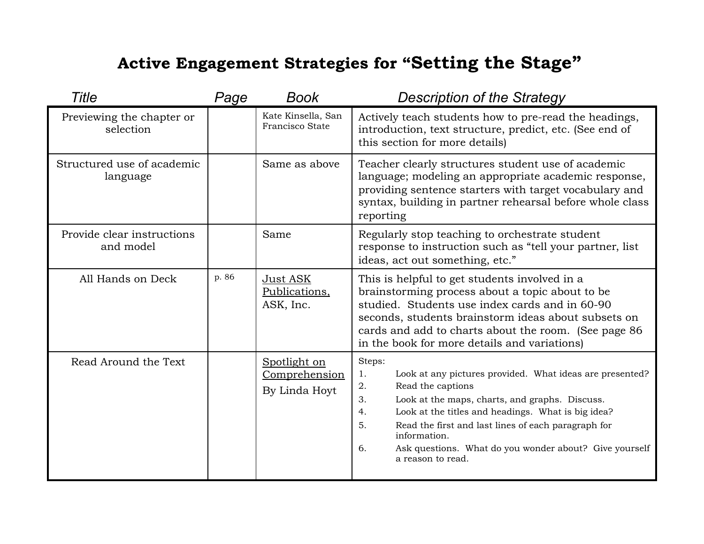| Title                                   | Page  | <b>Book</b>                                    | <b>Description of the Strategy</b>                                                                                                                                                                                                                                                                                                                                                        |
|-----------------------------------------|-------|------------------------------------------------|-------------------------------------------------------------------------------------------------------------------------------------------------------------------------------------------------------------------------------------------------------------------------------------------------------------------------------------------------------------------------------------------|
| Previewing the chapter or<br>selection  |       | Kate Kinsella, San<br>Francisco State          | Actively teach students how to pre-read the headings,<br>introduction, text structure, predict, etc. (See end of<br>this section for more details)                                                                                                                                                                                                                                        |
| Structured use of academic<br>language  |       | Same as above                                  | Teacher clearly structures student use of academic<br>language; modeling an appropriate academic response,<br>providing sentence starters with target vocabulary and<br>syntax, building in partner rehearsal before whole class<br>reporting                                                                                                                                             |
| Provide clear instructions<br>and model |       | Same                                           | Regularly stop teaching to orchestrate student<br>response to instruction such as "tell your partner, list<br>ideas, act out something, etc."                                                                                                                                                                                                                                             |
| All Hands on Deck                       | p. 86 | Just ASK<br>Publications,<br>ASK, Inc.         | This is helpful to get students involved in a<br>brainstorming process about a topic about to be<br>studied. Students use index cards and in 60-90<br>seconds, students brainstorm ideas about subsets on<br>cards and add to charts about the room. (See page 86<br>in the book for more details and variations)                                                                         |
| Read Around the Text                    |       | Spotlight on<br>Comprehension<br>By Linda Hoyt | Steps:<br>Look at any pictures provided. What ideas are presented?<br>1.<br>Read the captions<br>2.<br>Look at the maps, charts, and graphs. Discuss.<br>3.<br>Look at the titles and headings. What is big idea?<br>4.<br>Read the first and last lines of each paragraph for<br>5.<br>information.<br>6.<br>Ask questions. What do you wonder about? Give yourself<br>a reason to read. |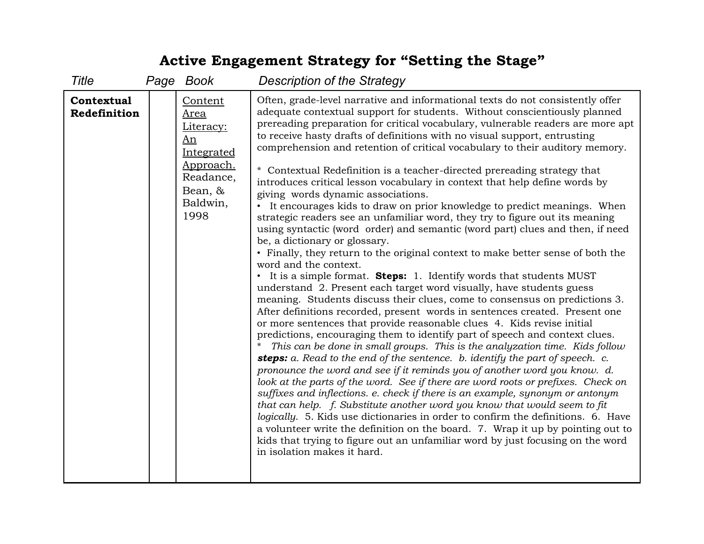| Title                      | Page Book                                                                                                        | <b>Description of the Strategy</b>                                                                                                                                                                                                                                                                                                                                                                                                                                                                                                                                                                                                                                                                                                                                                                                                                                                                                                                                                                                                                                                                                                                                                                                                                                                                                                                                                                                                                                                                                                                                                                                                                                                                                                                                                                                                                                                                                                                                                                                                                                                                                                                                                                                                                                  |
|----------------------------|------------------------------------------------------------------------------------------------------------------|---------------------------------------------------------------------------------------------------------------------------------------------------------------------------------------------------------------------------------------------------------------------------------------------------------------------------------------------------------------------------------------------------------------------------------------------------------------------------------------------------------------------------------------------------------------------------------------------------------------------------------------------------------------------------------------------------------------------------------------------------------------------------------------------------------------------------------------------------------------------------------------------------------------------------------------------------------------------------------------------------------------------------------------------------------------------------------------------------------------------------------------------------------------------------------------------------------------------------------------------------------------------------------------------------------------------------------------------------------------------------------------------------------------------------------------------------------------------------------------------------------------------------------------------------------------------------------------------------------------------------------------------------------------------------------------------------------------------------------------------------------------------------------------------------------------------------------------------------------------------------------------------------------------------------------------------------------------------------------------------------------------------------------------------------------------------------------------------------------------------------------------------------------------------------------------------------------------------------------------------------------------------|
| Contextual<br>Redefinition | Content<br><b>Area</b><br>Literacy:<br>An<br>Integrated<br>Approach.<br>Readance,<br>Bean, &<br>Baldwin,<br>1998 | Often, grade-level narrative and informational texts do not consistently offer<br>adequate contextual support for students. Without conscientiously planned<br>prereading preparation for critical vocabulary, vulnerable readers are more apt<br>to receive hasty drafts of definitions with no visual support, entrusting<br>comprehension and retention of critical vocabulary to their auditory memory.<br>* Contextual Redefinition is a teacher-directed prereading strategy that<br>introduces critical lesson vocabulary in context that help define words by<br>giving words dynamic associations.<br>• It encourages kids to draw on prior knowledge to predict meanings. When<br>strategic readers see an unfamiliar word, they try to figure out its meaning<br>using syntactic (word order) and semantic (word part) clues and then, if need<br>be, a dictionary or glossary.<br>• Finally, they return to the original context to make better sense of both the<br>word and the context.<br>• It is a simple format. Steps: 1. Identify words that students MUST<br>understand 2. Present each target word visually, have students guess<br>meaning. Students discuss their clues, come to consensus on predictions 3.<br>After definitions recorded, present words in sentences created. Present one<br>or more sentences that provide reasonable clues 4. Kids revise initial<br>predictions, encouraging them to identify part of speech and context clues.<br>This can be done in small groups. This is the analyzation time. Kids follow<br>steps: a. Read to the end of the sentence. b. identify the part of speech. c.<br>pronounce the word and see if it reminds you of another word you know. d.<br>look at the parts of the word. See if there are word roots or prefixes. Check on<br>suffixes and inflections. e. check if there is an example, synonym or antonym<br>that can help. f. Substitute another word you know that would seem to fit<br>logically. 5. Kids use dictionaries in order to confirm the definitions. 6. Have<br>a volunteer write the definition on the board. 7. Wrap it up by pointing out to<br>kids that trying to figure out an unfamiliar word by just focusing on the word<br>in isolation makes it hard. |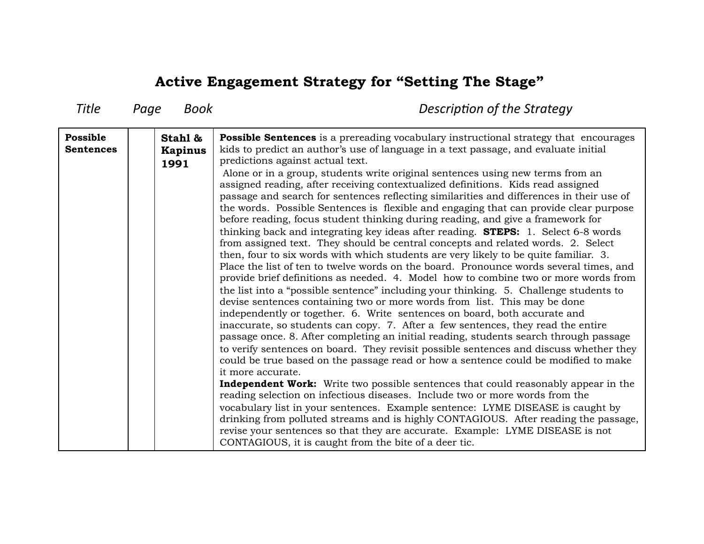| Title                        | Page<br>Book                      | Description of the Strategy                                                                                                                                                                                                                                                                                                                                                                                                                                                                                                                                                                                                                                                                                                                                                                                                                                                                                                                                                                                                                                                                                                                                                                                                                                                                                                                                                                                                                                                                                                                                                                                                                                                                                                                                                                                                                                                                                                                                                                                                                                                                                                                                                                                                                                         |
|------------------------------|-----------------------------------|---------------------------------------------------------------------------------------------------------------------------------------------------------------------------------------------------------------------------------------------------------------------------------------------------------------------------------------------------------------------------------------------------------------------------------------------------------------------------------------------------------------------------------------------------------------------------------------------------------------------------------------------------------------------------------------------------------------------------------------------------------------------------------------------------------------------------------------------------------------------------------------------------------------------------------------------------------------------------------------------------------------------------------------------------------------------------------------------------------------------------------------------------------------------------------------------------------------------------------------------------------------------------------------------------------------------------------------------------------------------------------------------------------------------------------------------------------------------------------------------------------------------------------------------------------------------------------------------------------------------------------------------------------------------------------------------------------------------------------------------------------------------------------------------------------------------------------------------------------------------------------------------------------------------------------------------------------------------------------------------------------------------------------------------------------------------------------------------------------------------------------------------------------------------------------------------------------------------------------------------------------------------|
| Possible<br><b>Sentences</b> | Stahl &<br><b>Kapinus</b><br>1991 | <b>Possible Sentences</b> is a prereading vocabulary instructional strategy that encourages<br>kids to predict an author's use of language in a text passage, and evaluate initial<br>predictions against actual text.<br>Alone or in a group, students write original sentences using new terms from an<br>assigned reading, after receiving contextualized definitions. Kids read assigned<br>passage and search for sentences reflecting similarities and differences in their use of<br>the words. Possible Sentences is flexible and engaging that can provide clear purpose<br>before reading, focus student thinking during reading, and give a framework for<br>thinking back and integrating key ideas after reading. <b>STEPS:</b> 1. Select 6-8 words<br>from assigned text. They should be central concepts and related words. 2. Select<br>then, four to six words with which students are very likely to be quite familiar. 3.<br>Place the list of ten to twelve words on the board. Pronounce words several times, and<br>provide brief definitions as needed. 4. Model how to combine two or more words from<br>the list into a "possible sentence" including your thinking. 5. Challenge students to<br>devise sentences containing two or more words from list. This may be done<br>independently or together. 6. Write sentences on board, both accurate and<br>inaccurate, so students can copy. 7. After a few sentences, they read the entire<br>passage once. 8. After completing an initial reading, students search through passage<br>to verify sentences on board. They revisit possible sentences and discuss whether they<br>could be true based on the passage read or how a sentence could be modified to make<br>it more accurate.<br><b>Independent Work:</b> Write two possible sentences that could reasonably appear in the<br>reading selection on infectious diseases. Include two or more words from the<br>vocabulary list in your sentences. Example sentence: LYME DISEASE is caught by<br>drinking from polluted streams and is highly CONTAGIOUS. After reading the passage,<br>revise your sentences so that they are accurate. Example: LYME DISEASE is not<br>CONTAGIOUS, it is caught from the bite of a deer tic. |
|                              |                                   |                                                                                                                                                                                                                                                                                                                                                                                                                                                                                                                                                                                                                                                                                                                                                                                                                                                                                                                                                                                                                                                                                                                                                                                                                                                                                                                                                                                                                                                                                                                                                                                                                                                                                                                                                                                                                                                                                                                                                                                                                                                                                                                                                                                                                                                                     |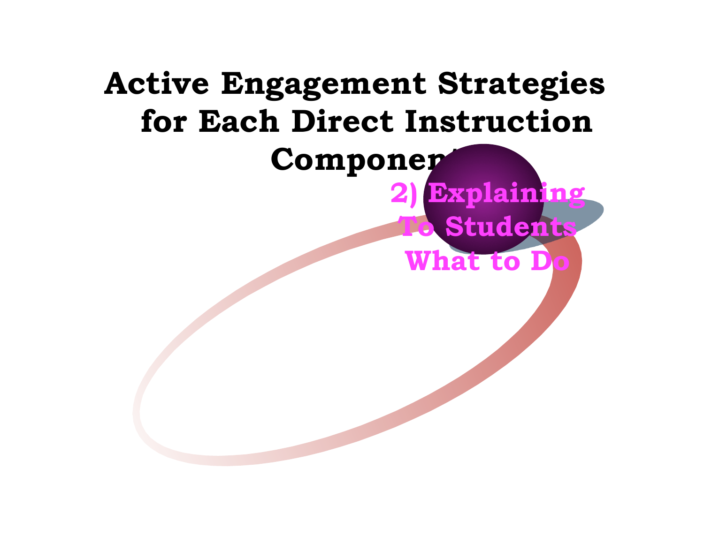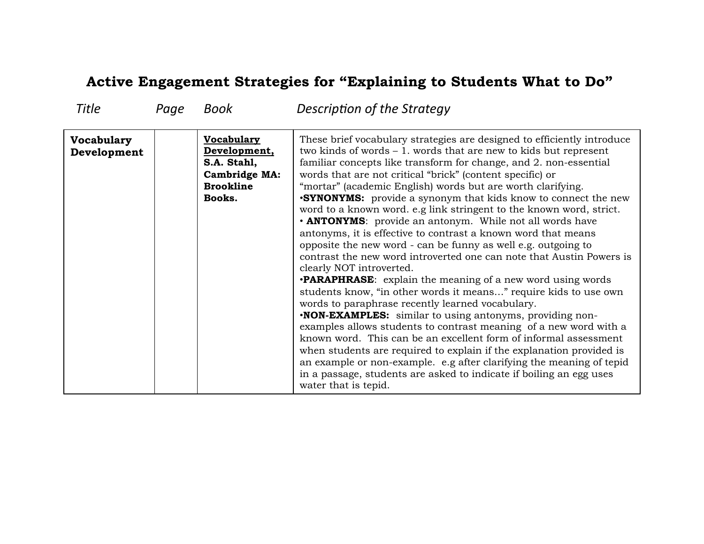#### **Active Engagement Strategies for "Explaining to Students What to Do"**

| <b>Title</b>                     | Page | <b>Book</b>                                                                                     | Description of the Strategy                                                                                                                                                                                                                                                                                                                                                                                                                                                                                                                                                                                                                                                                                                                                                                                                                                                                                                                                                                                                                                                                                                                                                                                                                                                                                                                                                                                                                             |
|----------------------------------|------|-------------------------------------------------------------------------------------------------|---------------------------------------------------------------------------------------------------------------------------------------------------------------------------------------------------------------------------------------------------------------------------------------------------------------------------------------------------------------------------------------------------------------------------------------------------------------------------------------------------------------------------------------------------------------------------------------------------------------------------------------------------------------------------------------------------------------------------------------------------------------------------------------------------------------------------------------------------------------------------------------------------------------------------------------------------------------------------------------------------------------------------------------------------------------------------------------------------------------------------------------------------------------------------------------------------------------------------------------------------------------------------------------------------------------------------------------------------------------------------------------------------------------------------------------------------------|
| <b>Vocabulary</b><br>Development |      | Vocabulary<br>Development,<br>S.A. Stahl,<br><b>Cambridge MA:</b><br><b>Brookline</b><br>Books. | These brief vocabulary strategies are designed to efficiently introduce<br>two kinds of words $-1$ . words that are new to kids but represent<br>familiar concepts like transform for change, and 2. non-essential<br>words that are not critical "brick" (content specific) or<br>"mortar" (academic English) words but are worth clarifying.<br><b>.SYNONYMS:</b> provide a synonym that kids know to connect the new<br>word to a known word. e.g link stringent to the known word, strict.<br>• ANTONYMS: provide an antonym. While not all words have<br>antonyms, it is effective to contrast a known word that means<br>opposite the new word - can be funny as well e.g. outgoing to<br>contrast the new word introverted one can note that Austin Powers is<br>clearly NOT introverted.<br><b>•PARAPHRASE:</b> explain the meaning of a new word using words<br>students know, "in other words it means" require kids to use own<br>words to paraphrase recently learned vocabulary.<br><b>NON-EXAMPLES:</b> similar to using antonyms, providing non-<br>examples allows students to contrast meaning of a new word with a<br>known word. This can be an excellent form of informal assessment<br>when students are required to explain if the explanation provided is<br>an example or non-example. e.g after clarifying the meaning of tepid<br>in a passage, students are asked to indicate if boiling an egg uses<br>water that is tepid. |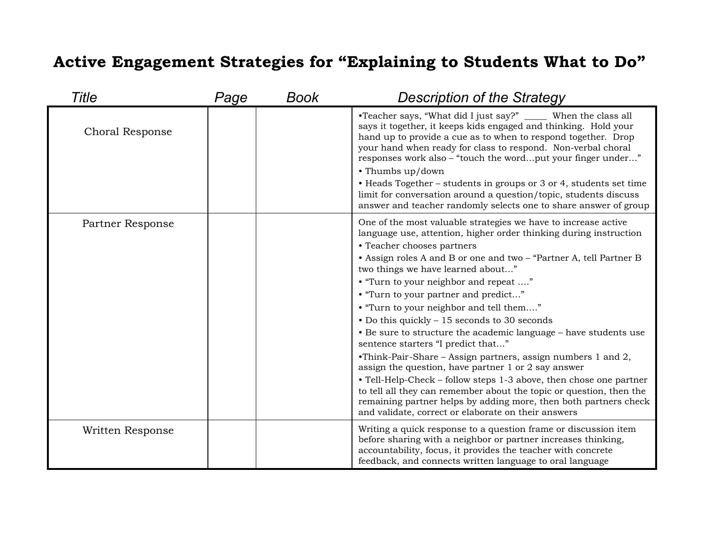## **Active Engagement Strategies for "Explaining to Students What to Do"**

| Title                  | Page | Book | <b>Description of the Strategy</b>                                                                                                                                                                                                                                                                                                                                                                                                                                                                                                                                                                                                                                                                                                                                                                                                                                                                                                                                |
|------------------------|------|------|-------------------------------------------------------------------------------------------------------------------------------------------------------------------------------------------------------------------------------------------------------------------------------------------------------------------------------------------------------------------------------------------------------------------------------------------------------------------------------------------------------------------------------------------------------------------------------------------------------------------------------------------------------------------------------------------------------------------------------------------------------------------------------------------------------------------------------------------------------------------------------------------------------------------------------------------------------------------|
| <b>Choral Response</b> |      |      | •Teacher says, "What did I just say?" ______ When the class all<br>says it together, it keeps kids engaged and thinking. Hold your<br>hand up to provide a cue as to when to respond together. Drop<br>your hand when ready for class to respond. Non-verbal choral<br>responses work also - "touch the wordput your finger under"<br>• Thumbs up/down<br>• Heads Together – students in groups or 3 or 4, students set time<br>limit for conversation around a question/topic, students discuss<br>answer and teacher randomly selects one to share answer of group                                                                                                                                                                                                                                                                                                                                                                                              |
| Partner Response       |      |      | One of the most valuable strategies we have to increase active<br>language use, attention, higher order thinking during instruction<br>• Teacher chooses partners<br>• Assign roles A and B or one and two - "Partner A, tell Partner B<br>two things we have learned about"<br>• "Turn to your neighbor and repeat "<br>• "Turn to your partner and predict"<br>• "Turn to your neighbor and tell them"<br>• Do this quickly – 15 seconds to 30 seconds<br>• Be sure to structure the academic language - have students use<br>sentence starters "I predict that"<br>•Think-Pair-Share – Assign partners, assign numbers 1 and 2,<br>assign the question, have partner 1 or 2 say answer<br>• Tell-Help-Check - follow steps 1-3 above, then chose one partner<br>to tell all they can remember about the topic or question, then the<br>remaining partner helps by adding more, then both partners check<br>and validate, correct or elaborate on their answers |
| Written Response       |      |      | Writing a quick response to a question frame or discussion item<br>before sharing with a neighbor or partner increases thinking,<br>accountability, focus, it provides the teacher with concrete<br>feedback, and connects written language to oral language                                                                                                                                                                                                                                                                                                                                                                                                                                                                                                                                                                                                                                                                                                      |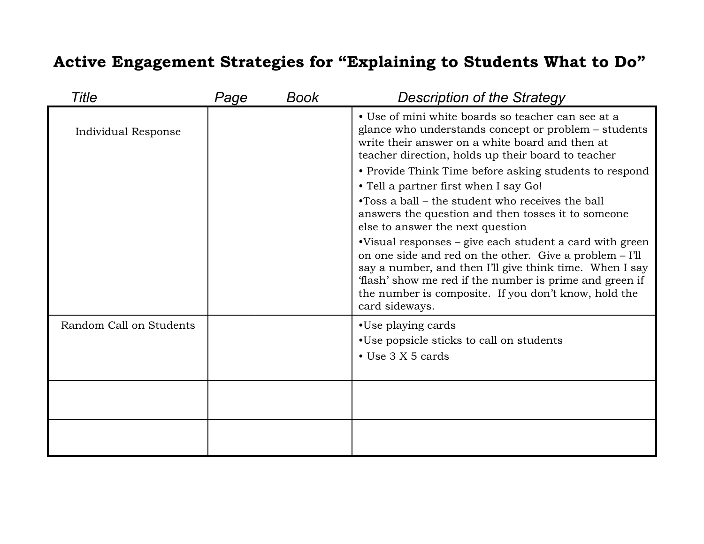#### **Active Engagement Strategies for "Explaining to Students What to Do"**

| Title                   | Page | Book | <b>Description of the Strategy</b>                                                                                                                                                                                                                                                                                                                                                                                                                                                                                                                                                                                                                                                                                                                                                         |
|-------------------------|------|------|--------------------------------------------------------------------------------------------------------------------------------------------------------------------------------------------------------------------------------------------------------------------------------------------------------------------------------------------------------------------------------------------------------------------------------------------------------------------------------------------------------------------------------------------------------------------------------------------------------------------------------------------------------------------------------------------------------------------------------------------------------------------------------------------|
| Individual Response     |      |      | • Use of mini white boards so teacher can see at a<br>glance who understands concept or problem - students<br>write their answer on a white board and then at<br>teacher direction, holds up their board to teacher<br>• Provide Think Time before asking students to respond<br>• Tell a partner first when I say Go!<br>•Toss a ball – the student who receives the ball<br>answers the question and then tosses it to someone<br>else to answer the next question<br>•Visual responses – give each student a card with green<br>on one side and red on the other. Give a problem - I'll<br>say a number, and then I'll give think time. When I say<br>'flash' show me red if the number is prime and green if<br>the number is composite. If you don't know, hold the<br>card sideways. |
| Random Call on Students |      |      | •Use playing cards<br>•Use popsicle sticks to call on students<br>$\bullet$ Use 3 X 5 cards                                                                                                                                                                                                                                                                                                                                                                                                                                                                                                                                                                                                                                                                                                |
|                         |      |      |                                                                                                                                                                                                                                                                                                                                                                                                                                                                                                                                                                                                                                                                                                                                                                                            |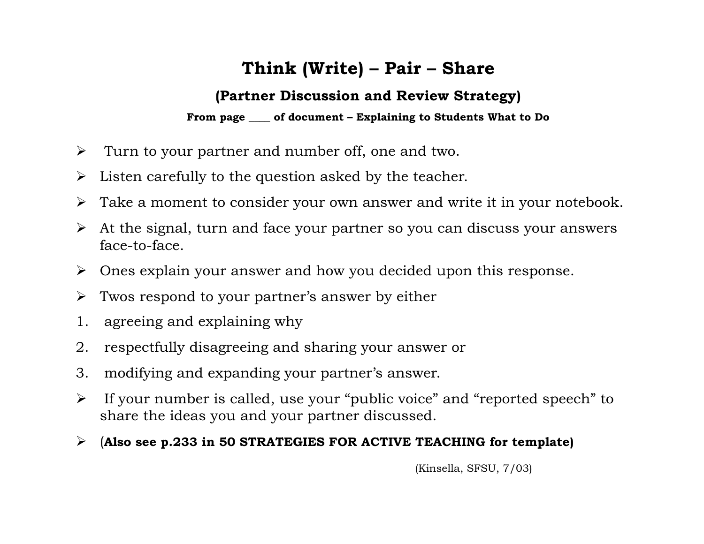## **Think (Write) – Pair – Share**

#### **(Partner Discussion and Review Strategy)**

**From page \_\_\_\_ of document – Explaining to Students What to Do** 

- $\triangleright$  Turn to your partner and number off, one and two.
- $\triangleright$  Listen carefully to the question asked by the teacher.
- $\triangleright$  Take a moment to consider your own answer and write it in your notebook.
- $\triangleright$  At the signal, turn and face your partner so you can discuss your answers face-to-face.
- $\triangleright$  Ones explain your answer and how you decided upon this response.
- $\triangleright$  Twos respond to your partner's answer by either
- 1. agreeing and explaining why
- 2. respectfully disagreeing and sharing your answer or
- 3. modifying and expanding your partner's answer.
- $\triangleright$  If your number is called, use your "public voice" and "reported speech" to share the ideas you and your partner discussed.
- (**Also see p.233 in 50 STRATEGIES FOR ACTIVE TEACHING for template)**

(Kinsella, SFSU, 7/03)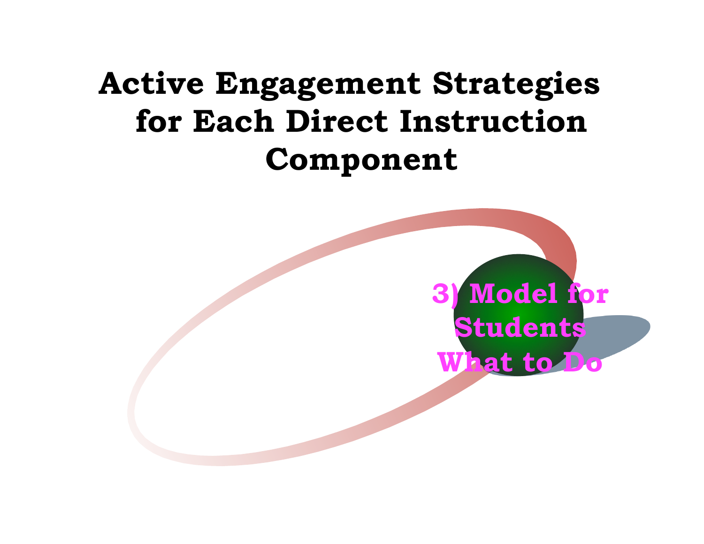## **Active Engagement Strategies for Each Direct Instruction Component**

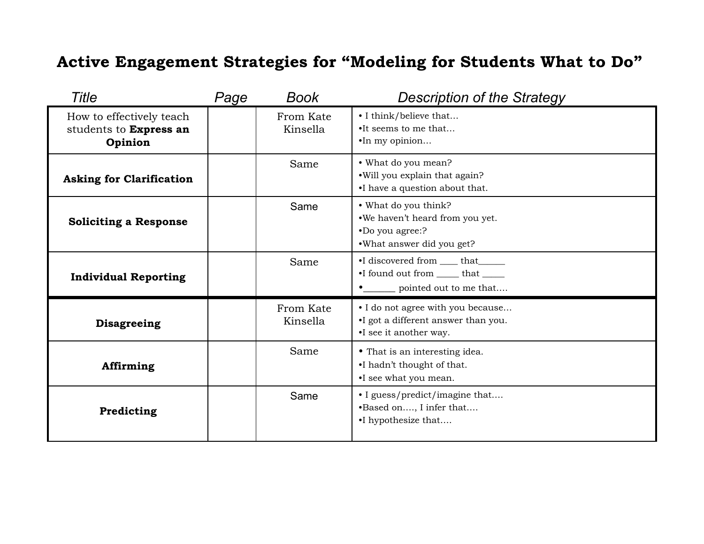## **Active Engagement Strategies for "Modeling for Students What to Do"**

| Title                                                         | Page | <b>Book</b>           | Description of the Strategy                                                                             |
|---------------------------------------------------------------|------|-----------------------|---------------------------------------------------------------------------------------------------------|
| How to effectively teach<br>students to Express an<br>Opinion |      | From Kate<br>Kinsella | • I think/believe that<br>•It seems to me that<br>•In my opinion                                        |
| <b>Asking for Clarification</b>                               |      | Same                  | • What do you mean?<br>.Will you explain that again?<br>•I have a question about that.                  |
| <b>Soliciting a Response</b>                                  |      | Same                  | • What do you think?<br>.We haven't heard from you yet.<br>•Do you agree:?<br>•What answer did you get? |
| <b>Individual Reporting</b>                                   |      | Same                  | •I discovered from _____ that ______<br>•I found out from _____ that _____<br>pointed out to me that    |
| <b>Disagreeing</b>                                            |      | From Kate<br>Kinsella | • I do not agree with you because<br>•I got a different answer than you.<br>•I see it another way.      |
| Affirming                                                     |      | Same                  | • That is an interesting idea.<br>•I hadn't thought of that.<br>•I see what you mean.                   |
| Predicting                                                    |      | Same                  | • I guess/predict/imagine that<br>•Based on, I infer that<br>•I hypothesize that                        |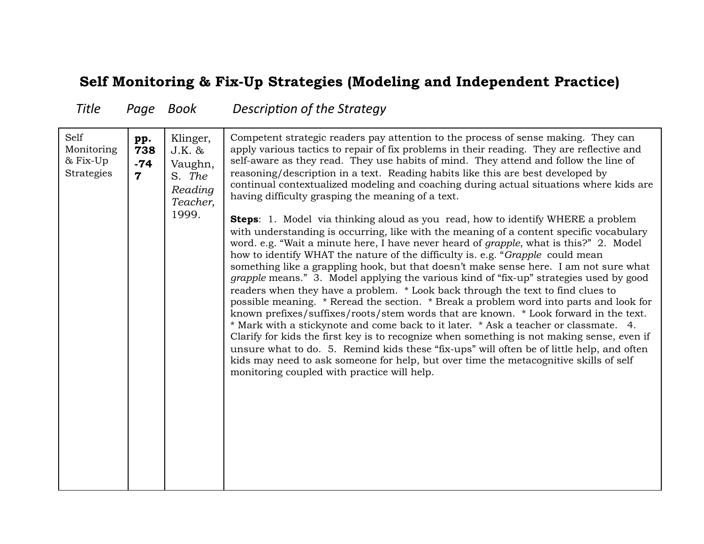#### **Self Monitoring & Fix-Up Strategies (Modeling and Independent Practice)**

Title Page Book Description of the Strategy

| Self<br>pp.<br>Monitoring<br>738<br>& Fix-Up<br>$-74$<br>Strategies<br>$\overline{\mathbf{7}}$ | Klinger,<br>J.K. &<br>Vaughn,<br>S. The<br>Reading<br>Teacher,<br>1999. | Competent strategic readers pay attention to the process of sense making. They can<br>apply various tactics to repair of fix problems in their reading. They are reflective and<br>self-aware as they read. They use habits of mind. They attend and follow the line of<br>reasoning/description in a text. Reading habits like this are best developed by<br>continual contextualized modeling and coaching during actual situations where kids are<br>having difficulty grasping the meaning of a text.<br><b>Steps:</b> 1. Model via thinking aloud as you read, how to identify WHERE a problem<br>with understanding is occurring, like with the meaning of a content specific vocabulary<br>word. e.g. "Wait a minute here, I have never heard of grapple, what is this?" 2. Model<br>how to identify WHAT the nature of the difficulty is. e.g. "Grapple could mean<br>something like a grappling hook, but that doesn't make sense here. I am not sure what<br>grapple means." 3. Model applying the various kind of "fix-up" strategies used by good<br>readers when they have a problem. * Look back through the text to find clues to<br>possible meaning. * Reread the section. * Break a problem word into parts and look for<br>known prefixes/suffixes/roots/stem words that are known. * Look forward in the text.<br>* Mark with a stickynote and come back to it later. * Ask a teacher or classmate. 4.<br>Clarify for kids the first key is to recognize when something is not making sense, even if<br>unsure what to do. 5. Remind kids these "fix-ups" will often be of little help, and often<br>kids may need to ask someone for help, but over time the metacognitive skills of self<br>monitoring coupled with practice will help. |
|------------------------------------------------------------------------------------------------|-------------------------------------------------------------------------|---------------------------------------------------------------------------------------------------------------------------------------------------------------------------------------------------------------------------------------------------------------------------------------------------------------------------------------------------------------------------------------------------------------------------------------------------------------------------------------------------------------------------------------------------------------------------------------------------------------------------------------------------------------------------------------------------------------------------------------------------------------------------------------------------------------------------------------------------------------------------------------------------------------------------------------------------------------------------------------------------------------------------------------------------------------------------------------------------------------------------------------------------------------------------------------------------------------------------------------------------------------------------------------------------------------------------------------------------------------------------------------------------------------------------------------------------------------------------------------------------------------------------------------------------------------------------------------------------------------------------------------------------------------------------------------------------------------------------------------------------------------|
|------------------------------------------------------------------------------------------------|-------------------------------------------------------------------------|---------------------------------------------------------------------------------------------------------------------------------------------------------------------------------------------------------------------------------------------------------------------------------------------------------------------------------------------------------------------------------------------------------------------------------------------------------------------------------------------------------------------------------------------------------------------------------------------------------------------------------------------------------------------------------------------------------------------------------------------------------------------------------------------------------------------------------------------------------------------------------------------------------------------------------------------------------------------------------------------------------------------------------------------------------------------------------------------------------------------------------------------------------------------------------------------------------------------------------------------------------------------------------------------------------------------------------------------------------------------------------------------------------------------------------------------------------------------------------------------------------------------------------------------------------------------------------------------------------------------------------------------------------------------------------------------------------------------------------------------------------------|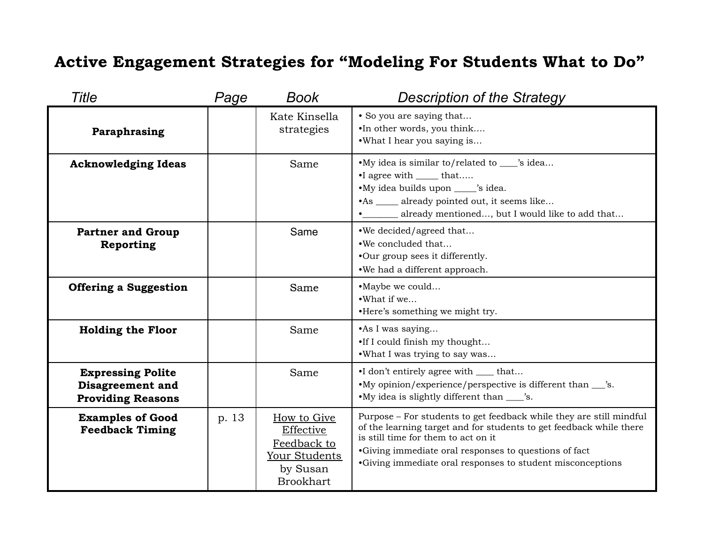#### **Active Engagement Strategies for "Modeling For Students What to Do"**

| <b>Title</b>                                                                    | Page  | Book                                                                                     | <b>Description of the Strategy</b>                                                                                                                                                                                                                                                                       |
|---------------------------------------------------------------------------------|-------|------------------------------------------------------------------------------------------|----------------------------------------------------------------------------------------------------------------------------------------------------------------------------------------------------------------------------------------------------------------------------------------------------------|
| Paraphrasing                                                                    |       | Kate Kinsella<br>strategies                                                              | • So you are saying that<br>.In other words, you think<br>.What I hear you saying is                                                                                                                                                                                                                     |
| <b>Acknowledging Ideas</b>                                                      |       | Same                                                                                     | •My idea is similar to/related to ____'s idea<br>•I agree with _______ that<br>•My idea builds upon _____ 's idea.<br>•As _____ already pointed out, it seems like<br>already mentioned, but I would like to add that                                                                                    |
| <b>Partner and Group</b><br>Reporting                                           |       | Same                                                                                     | .We decided/agreed that<br>.We concluded that<br>•Our group sees it differently.<br>.We had a different approach.                                                                                                                                                                                        |
| <b>Offering a Suggestion</b>                                                    |       | Same                                                                                     | •Maybe we could<br>•What if we<br>•Here's something we might try.                                                                                                                                                                                                                                        |
| <b>Holding the Floor</b>                                                        |       | Same                                                                                     | • As I was saying<br>.If I could finish my thought<br>.What I was trying to say was                                                                                                                                                                                                                      |
| <b>Expressing Polite</b><br><b>Disagreement and</b><br><b>Providing Reasons</b> |       | Same                                                                                     | •I don't entirely agree with <u>section</u> that<br>•My opinion/experience/perspective is different than ___'s.<br>•My idea is slightly different than ____'s.                                                                                                                                           |
| <b>Examples of Good</b><br><b>Feedback Timing</b>                               | p. 13 | How to Give<br>Effective<br>Feedback to<br>Your Students<br>by Susan<br><b>Brookhart</b> | Purpose – For students to get feedback while they are still mindful<br>of the learning target and for students to get feedback while there<br>is still time for them to act on it<br>•Giving immediate oral responses to questions of fact<br>•Giving immediate oral responses to student misconceptions |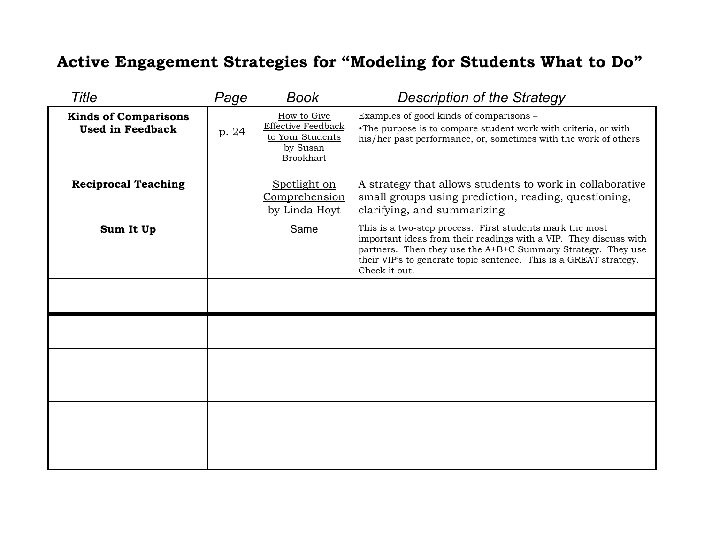### **Active Engagement Strategies for "Modeling for Students What to Do"**

| Title                                                  | Page  | <b>Book</b>                                                                                  | <b>Description of the Strategy</b>                                                                                                                                                                                                                                                  |
|--------------------------------------------------------|-------|----------------------------------------------------------------------------------------------|-------------------------------------------------------------------------------------------------------------------------------------------------------------------------------------------------------------------------------------------------------------------------------------|
| <b>Kinds of Comparisons</b><br><b>Used in Feedback</b> | p. 24 | How to Give<br><b>Effective Feedback</b><br>to Your Students<br>by Susan<br><b>Brookhart</b> | Examples of good kinds of comparisons -<br>•The purpose is to compare student work with criteria, or with<br>his/her past performance, or, sometimes with the work of others                                                                                                        |
| <b>Reciprocal Teaching</b>                             |       | Spotlight on<br>Comprehension<br>by Linda Hoyt                                               | A strategy that allows students to work in collaborative<br>small groups using prediction, reading, questioning,<br>clarifying, and summarizing                                                                                                                                     |
| Sum It Up                                              |       | Same                                                                                         | This is a two-step process. First students mark the most<br>important ideas from their readings with a VIP. They discuss with<br>partners. Then they use the A+B+C Summary Strategy. They use<br>their VIP's to generate topic sentence. This is a GREAT strategy.<br>Check it out. |
|                                                        |       |                                                                                              |                                                                                                                                                                                                                                                                                     |
|                                                        |       |                                                                                              |                                                                                                                                                                                                                                                                                     |
|                                                        |       |                                                                                              |                                                                                                                                                                                                                                                                                     |
|                                                        |       |                                                                                              |                                                                                                                                                                                                                                                                                     |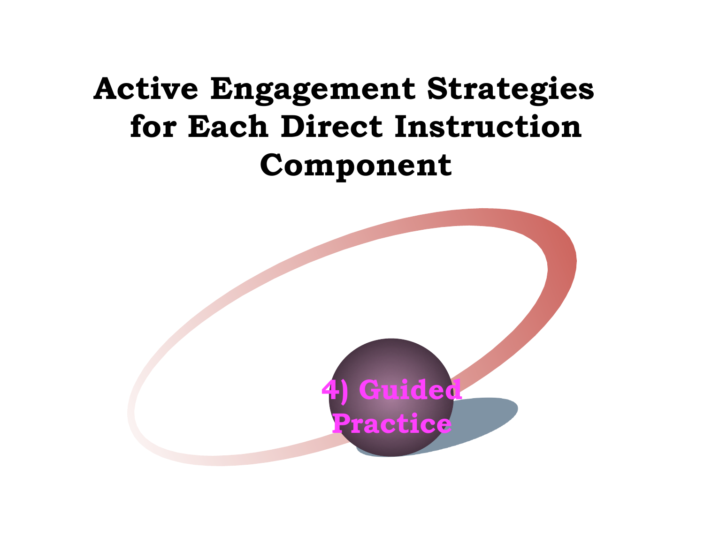# **Active Engagement Strategies for Each Direct Instruction Component**

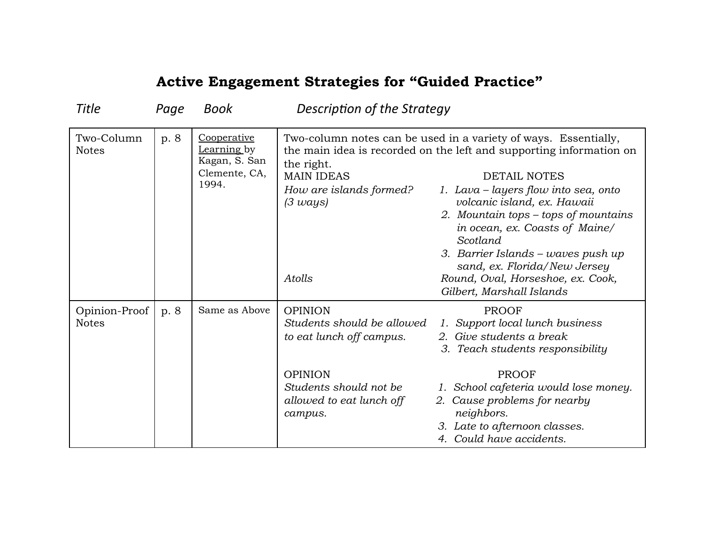| Title                         | Page | Book                                                                  | Description of the Strategy                                                                                                                                 |                                                                                                                                                                                                                                                                                                                                                                                                                                                                    |
|-------------------------------|------|-----------------------------------------------------------------------|-------------------------------------------------------------------------------------------------------------------------------------------------------------|--------------------------------------------------------------------------------------------------------------------------------------------------------------------------------------------------------------------------------------------------------------------------------------------------------------------------------------------------------------------------------------------------------------------------------------------------------------------|
| Two-Column<br><b>Notes</b>    | p. 8 | Cooperative<br>Learning by<br>Kagan, S. San<br>Clemente, CA,<br>1994. | the right.<br><b>MAIN IDEAS</b><br>How are islands formed?<br>$(3 \text{ ways})$<br>Atolls                                                                  | Two-column notes can be used in a variety of ways. Essentially,<br>the main idea is recorded on the left and supporting information on<br><b>DETAIL NOTES</b><br>1. Lava – layers flow into sea, onto<br>volcanic island, ex. Hawaii<br>2. Mountain tops – tops of mountains<br>in ocean, ex. Coasts of Maine/<br>Scotland<br>3. Barrier Islands – waves push up<br>sand, ex. Florida/New Jersey<br>Round, Oval, Horseshoe, ex. Cook,<br>Gilbert, Marshall Islands |
| Opinion-Proof<br><b>Notes</b> | p. 8 | Same as Above                                                         | <b>OPINION</b><br>Students should be allowed<br>to eat lunch off campus.<br><b>OPINION</b><br>Students should not be<br>allowed to eat lunch off<br>campus. | <b>PROOF</b><br>1. Support local lunch business<br>2. Give students a break<br>3. Teach students responsibility<br><b>PROOF</b><br>1. School cafeteria would lose money.<br>2. Cause problems for nearby<br>neighbors.<br>3. Late to afternoon classes.<br>4. Could have accidents.                                                                                                                                                                                |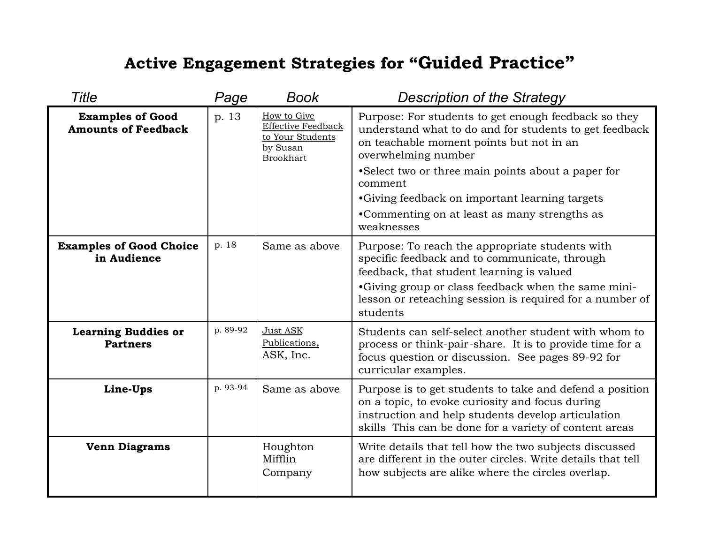| Title                                                 | Page     | <b>Book</b>                                                                           | <b>Description of the Strategy</b>                                                                                                                                                                                                                                                                                                                                  |
|-------------------------------------------------------|----------|---------------------------------------------------------------------------------------|---------------------------------------------------------------------------------------------------------------------------------------------------------------------------------------------------------------------------------------------------------------------------------------------------------------------------------------------------------------------|
| <b>Examples of Good</b><br><b>Amounts of Feedback</b> | p. 13    | How to Give<br>Effective Feedback<br>to Your Students<br>by Susan<br><b>Brookhart</b> | Purpose: For students to get enough feedback so they<br>understand what to do and for students to get feedback<br>on teachable moment points but not in an<br>overwhelming number<br>• Select two or three main points about a paper for<br>comment<br>•Giving feedback on important learning targets<br>•Commenting on at least as many strengths as<br>weaknesses |
| <b>Examples of Good Choice</b><br>in Audience         | p. 18    | Same as above                                                                         | Purpose: To reach the appropriate students with<br>specific feedback and to communicate, through<br>feedback, that student learning is valued<br>•Giving group or class feedback when the same mini-<br>lesson or reteaching session is required for a number of<br>students                                                                                        |
| <b>Learning Buddies or</b><br><b>Partners</b>         | p. 89-92 | Just ASK<br>Publications,<br>ASK, Inc.                                                | Students can self-select another student with whom to<br>process or think-pair-share. It is to provide time for a<br>focus question or discussion. See pages 89-92 for<br>curricular examples.                                                                                                                                                                      |
| Line-Ups                                              | p. 93-94 | Same as above                                                                         | Purpose is to get students to take and defend a position<br>on a topic, to evoke curiosity and focus during<br>instruction and help students develop articulation<br>skills This can be done for a variety of content areas                                                                                                                                         |
| <b>Venn Diagrams</b>                                  |          | Houghton<br>Mifflin<br>Company                                                        | Write details that tell how the two subjects discussed<br>are different in the outer circles. Write details that tell<br>how subjects are alike where the circles overlap.                                                                                                                                                                                          |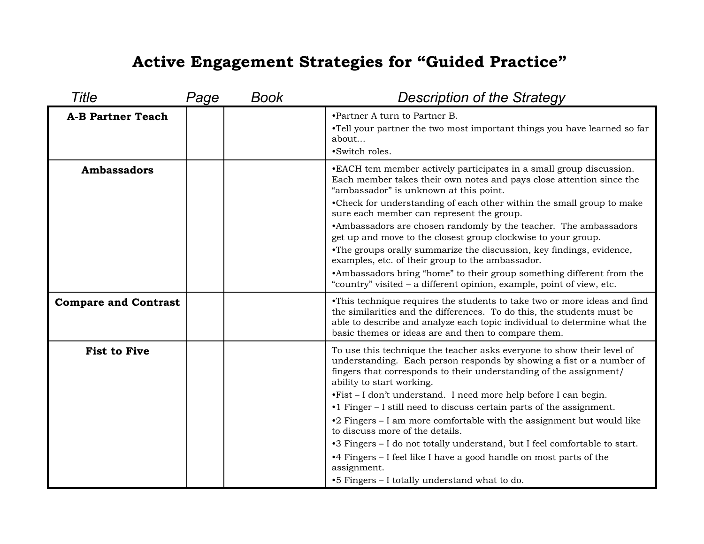| Title                       | Page | <b>Book</b> | <b>Description of the Strategy</b>                                                                                                                                                                                                                                                                                                                                                                                                                                                                                                                                                                                                                                                                                                   |
|-----------------------------|------|-------------|--------------------------------------------------------------------------------------------------------------------------------------------------------------------------------------------------------------------------------------------------------------------------------------------------------------------------------------------------------------------------------------------------------------------------------------------------------------------------------------------------------------------------------------------------------------------------------------------------------------------------------------------------------------------------------------------------------------------------------------|
| <b>A-B Partner Teach</b>    |      |             | •Partner A turn to Partner B.<br>•Tell your partner the two most important things you have learned so far<br>about<br>·Switch roles.                                                                                                                                                                                                                                                                                                                                                                                                                                                                                                                                                                                                 |
| <b>Ambassadors</b>          |      |             | • EACH tem member actively participates in a small group discussion.<br>Each member takes their own notes and pays close attention since the<br>"ambassador" is unknown at this point.<br>•Check for understanding of each other within the small group to make<br>sure each member can represent the group.<br>•Ambassadors are chosen randomly by the teacher. The ambassadors<br>get up and move to the closest group clockwise to your group.<br>•The groups orally summarize the discussion, key findings, evidence,<br>examples, etc. of their group to the ambassador.<br>•Ambassadors bring "home" to their group something different from the<br>"country" visited – a different opinion, example, point of view, etc.      |
| <b>Compare and Contrast</b> |      |             | • This technique requires the students to take two or more ideas and find<br>the similarities and the differences. To do this, the students must be<br>able to describe and analyze each topic individual to determine what the<br>basic themes or ideas are and then to compare them.                                                                                                                                                                                                                                                                                                                                                                                                                                               |
| <b>Fist to Five</b>         |      |             | To use this technique the teacher asks everyone to show their level of<br>understanding. Each person responds by showing a fist or a number of<br>fingers that corresponds to their understanding of the assignment/<br>ability to start working.<br>.Fist - I don't understand. I need more help before I can begin.<br>•1 Finger – I still need to discuss certain parts of the assignment.<br>$\cdot$ 2 Fingers – I am more comfortable with the assignment but would like<br>to discuss more of the details.<br>•3 Fingers – I do not totally understand, but I feel comfortable to start.<br>•4 Fingers – I feel like I have a good handle on most parts of the<br>assignment.<br>•5 Fingers – I totally understand what to do. |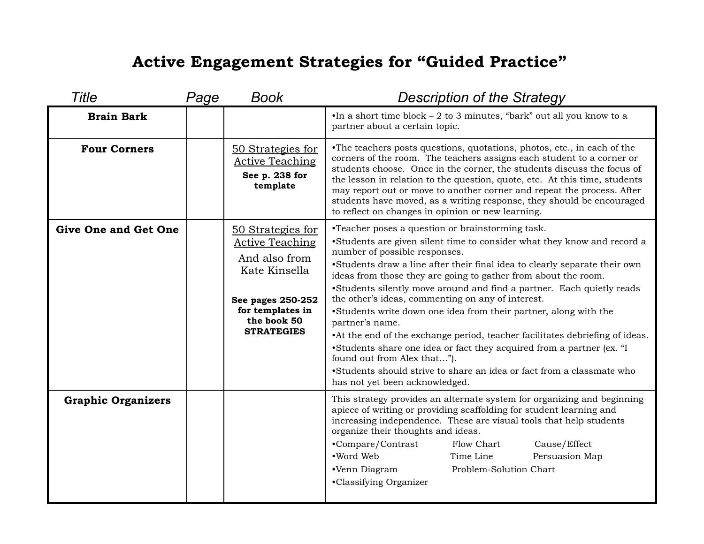| <b>Title</b>                | Page | <b>Book</b>                                                                                                                                                | <b>Description of the Strategy</b>                                                                                                                                                                                                                                                                                                                                                                                                                                                                                                                                                                                                                                                                                                                                                                                                    |
|-----------------------------|------|------------------------------------------------------------------------------------------------------------------------------------------------------------|---------------------------------------------------------------------------------------------------------------------------------------------------------------------------------------------------------------------------------------------------------------------------------------------------------------------------------------------------------------------------------------------------------------------------------------------------------------------------------------------------------------------------------------------------------------------------------------------------------------------------------------------------------------------------------------------------------------------------------------------------------------------------------------------------------------------------------------|
| <b>Brain Bark</b>           |      |                                                                                                                                                            | $\bullet$ In a short time block - 2 to 3 minutes, "bark" out all you know to a<br>partner about a certain topic.                                                                                                                                                                                                                                                                                                                                                                                                                                                                                                                                                                                                                                                                                                                      |
| <b>Four Corners</b>         |      | 50 Strategies for<br><b>Active Teaching</b><br>See p. 238 for<br>template                                                                                  | •The teachers posts questions, quotations, photos, etc., in each of the<br>corners of the room. The teachers assigns each student to a corner or<br>students choose. Once in the corner, the students discuss the focus of<br>the lesson in relation to the question, quote, etc. At this time, students<br>may report out or move to another corner and repeat the process. After<br>students have moved, as a writing response, they should be encouraged<br>to reflect on changes in opinion or new learning.                                                                                                                                                                                                                                                                                                                      |
| <b>Give One and Get One</b> |      | 50 Strategies for<br><b>Active Teaching</b><br>And also from<br>Kate Kinsella<br>See pages 250-252<br>for templates in<br>the book 50<br><b>STRATEGIES</b> | •Teacher poses a question or brainstorming task.<br>•Students are given silent time to consider what they know and record a<br>number of possible responses.<br>•Students draw a line after their final idea to clearly separate their own<br>ideas from those they are going to gather from about the room.<br>•Students silently move around and find a partner. Each quietly reads<br>the other's ideas, commenting on any of interest.<br>•Students write down one idea from their partner, along with the<br>partner's name.<br>• At the end of the exchange period, teacher facilitates debriefing of ideas.<br>•Students share one idea or fact they acquired from a partner (ex. "I<br>found out from Alex that").<br>•Students should strive to share an idea or fact from a classmate who<br>has not yet been acknowledged. |
| <b>Graphic Organizers</b>   |      |                                                                                                                                                            | This strategy provides an alternate system for organizing and beginning<br>apiece of writing or providing scaffolding for student learning and<br>increasing independence. These are visual tools that help students<br>organize their thoughts and ideas.<br>Cause/Effect<br>•Compare/Contrast<br>Flow Chart<br>•Word Web<br>Time Line<br>Persuasion Map<br>Problem-Solution Chart<br>•Venn Diagram<br>•Classifying Organizer                                                                                                                                                                                                                                                                                                                                                                                                        |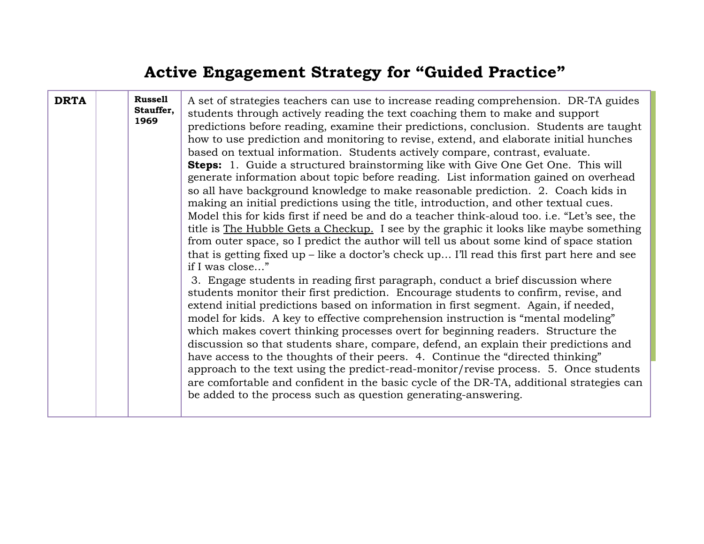| <b>DRTA</b> | <b>Russell</b><br>Stauffer,<br>1969 | A set of strategies teachers can use to increase reading comprehension. DR-TA guides<br>students through actively reading the text coaching them to make and support<br>predictions before reading, examine their predictions, conclusion. Students are taught<br>how to use prediction and monitoring to revise, extend, and elaborate initial hunches<br>based on textual information. Students actively compare, contrast, evaluate.<br><b>Steps:</b> 1. Guide a structured brainstorming like with Give One Get One. This will<br>generate information about topic before reading. List information gained on overhead<br>so all have background knowledge to make reasonable prediction. 2. Coach kids in<br>making an initial predictions using the title, introduction, and other textual cues.<br>Model this for kids first if need be and do a teacher think-aloud too. i.e. "Let's see, the<br>title is The Hubble Gets a Checkup. I see by the graphic it looks like maybe something<br>from outer space, so I predict the author will tell us about some kind of space station<br>that is getting fixed up $-$ like a doctor's check up I'll read this first part here and see<br>if I was close" |
|-------------|-------------------------------------|---------------------------------------------------------------------------------------------------------------------------------------------------------------------------------------------------------------------------------------------------------------------------------------------------------------------------------------------------------------------------------------------------------------------------------------------------------------------------------------------------------------------------------------------------------------------------------------------------------------------------------------------------------------------------------------------------------------------------------------------------------------------------------------------------------------------------------------------------------------------------------------------------------------------------------------------------------------------------------------------------------------------------------------------------------------------------------------------------------------------------------------------------------------------------------------------------------------|
|             |                                     | 3. Engage students in reading first paragraph, conduct a brief discussion where<br>students monitor their first prediction. Encourage students to confirm, revise, and<br>extend initial predictions based on information in first segment. Again, if needed,<br>model for kids. A key to effective comprehension instruction is "mental modeling"<br>which makes covert thinking processes overt for beginning readers. Structure the<br>discussion so that students share, compare, defend, an explain their predictions and<br>have access to the thoughts of their peers. 4. Continue the "directed thinking"<br>approach to the text using the predict-read-monitor/revise process. 5. Once students<br>are comfortable and confident in the basic cycle of the DR-TA, additional strategies can<br>be added to the process such as question generating-answering.                                                                                                                                                                                                                                                                                                                                       |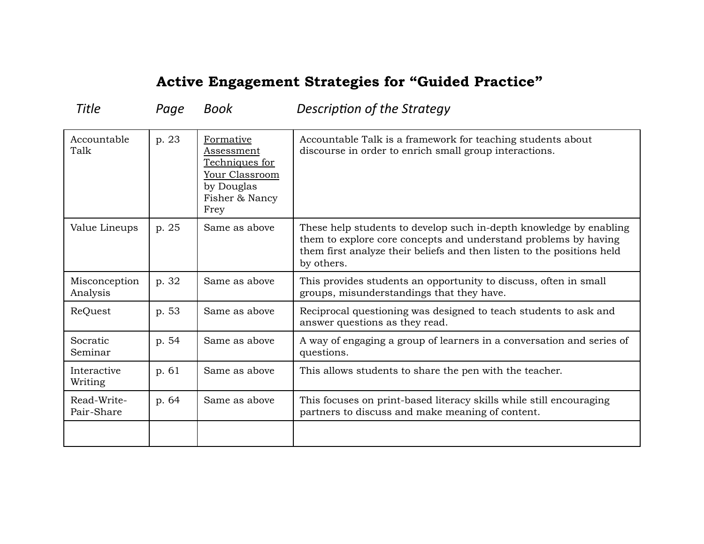Title *Page Book* Description of the Strategy

| Accountable<br>Talk       | p. 23 | Formative<br><u>Assessment</u><br>Techniques for<br>Your Classroom<br>by Douglas<br>Fisher & Nancy<br>Frey | Accountable Talk is a framework for teaching students about<br>discourse in order to enrich small group interactions.                                                                                                         |
|---------------------------|-------|------------------------------------------------------------------------------------------------------------|-------------------------------------------------------------------------------------------------------------------------------------------------------------------------------------------------------------------------------|
| Value Lineups             | p. 25 | Same as above                                                                                              | These help students to develop such in-depth knowledge by enabling<br>them to explore core concepts and understand problems by having<br>them first analyze their beliefs and then listen to the positions held<br>by others. |
| Misconception<br>Analysis | p. 32 | Same as above                                                                                              | This provides students an opportunity to discuss, often in small<br>groups, misunderstandings that they have.                                                                                                                 |
| ReQuest                   | p. 53 | Same as above                                                                                              | Reciprocal questioning was designed to teach students to ask and<br>answer questions as they read.                                                                                                                            |
| Socratic<br>Seminar       | p. 54 | Same as above                                                                                              | A way of engaging a group of learners in a conversation and series of<br>questions.                                                                                                                                           |
| Interactive<br>Writing    | p. 61 | Same as above                                                                                              | This allows students to share the pen with the teacher.                                                                                                                                                                       |
| Read-Write-<br>Pair-Share | p. 64 | Same as above                                                                                              | This focuses on print-based literacy skills while still encouraging<br>partners to discuss and make meaning of content.                                                                                                       |
|                           |       |                                                                                                            |                                                                                                                                                                                                                               |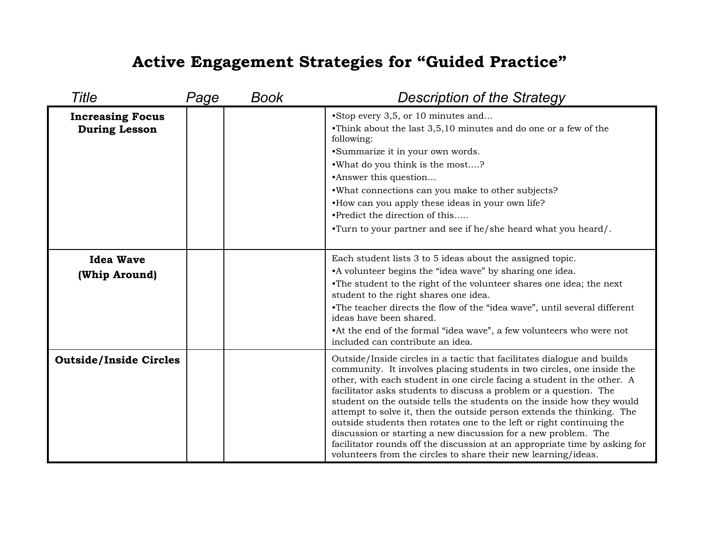| Title                                           | Page | Book | <b>Description of the Strategy</b>                                                                                                                                                                                                                                                                                                                                                                                                                                                                                                                                                                                                                                                                                                               |
|-------------------------------------------------|------|------|--------------------------------------------------------------------------------------------------------------------------------------------------------------------------------------------------------------------------------------------------------------------------------------------------------------------------------------------------------------------------------------------------------------------------------------------------------------------------------------------------------------------------------------------------------------------------------------------------------------------------------------------------------------------------------------------------------------------------------------------------|
| <b>Increasing Focus</b><br><b>During Lesson</b> |      |      | •Stop every 3,5, or 10 minutes and<br>•Think about the last 3,5,10 minutes and do one or a few of the<br>following:<br>•Summarize it in your own words.<br>.What do you think is the most?<br>•Answer this question<br>.What connections can you make to other subjects?<br>•How can you apply these ideas in your own life?<br>•Predict the direction of this<br>•Turn to your partner and see if he/she heard what you heard/.                                                                                                                                                                                                                                                                                                                 |
| <b>Idea Wave</b><br>(Whip Around)               |      |      | Each student lists 3 to 5 ideas about the assigned topic.<br>• A volunteer begins the "idea wave" by sharing one idea.<br>•The student to the right of the volunteer shares one idea; the next<br>student to the right shares one idea.<br>•The teacher directs the flow of the "idea wave", until several different<br>ideas have been shared.<br>•At the end of the formal "idea wave", a few volunteers who were not<br>included can contribute an idea.                                                                                                                                                                                                                                                                                      |
| <b>Outside/Inside Circles</b>                   |      |      | Outside/Inside circles in a tactic that facilitates dialogue and builds<br>community. It involves placing students in two circles, one inside the<br>other, with each student in one circle facing a student in the other. A<br>facilitator asks students to discuss a problem or a question. The<br>student on the outside tells the students on the inside how they would<br>attempt to solve it, then the outside person extends the thinking. The<br>outside students then rotates one to the left or right continuing the<br>discussion or starting a new discussion for a new problem. The<br>facilitator rounds off the discussion at an appropriate time by asking for<br>volunteers from the circles to share their new learning/ideas. |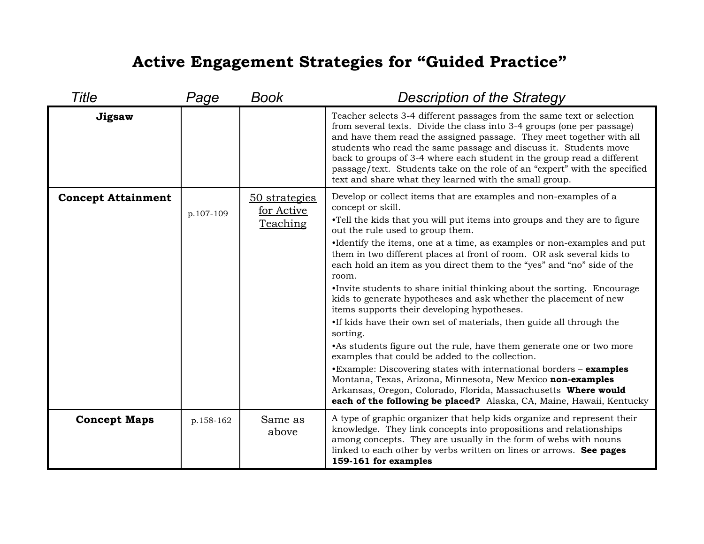| Title                     | Page      | Book                                           | <b>Description of the Strategy</b>                                                                                                                                                                                                                                                                                                                                                                                                                                                                                                                                                                                                                                                                                                                                                                                                                                                                                                                                                                                                                                                                                                         |
|---------------------------|-----------|------------------------------------------------|--------------------------------------------------------------------------------------------------------------------------------------------------------------------------------------------------------------------------------------------------------------------------------------------------------------------------------------------------------------------------------------------------------------------------------------------------------------------------------------------------------------------------------------------------------------------------------------------------------------------------------------------------------------------------------------------------------------------------------------------------------------------------------------------------------------------------------------------------------------------------------------------------------------------------------------------------------------------------------------------------------------------------------------------------------------------------------------------------------------------------------------------|
| Jigsaw                    |           |                                                | Teacher selects 3-4 different passages from the same text or selection<br>from several texts. Divide the class into 3-4 groups (one per passage)<br>and have them read the assigned passage. They meet together with all<br>students who read the same passage and discuss it. Students move<br>back to groups of 3-4 where each student in the group read a different<br>passage/text. Students take on the role of an "expert" with the specified<br>text and share what they learned with the small group.                                                                                                                                                                                                                                                                                                                                                                                                                                                                                                                                                                                                                              |
| <b>Concept Attainment</b> | p.107-109 | <u>50 strategies</u><br>for Active<br>Teaching | Develop or collect items that are examples and non-examples of a<br>concept or skill.<br>•Tell the kids that you will put items into groups and they are to figure<br>out the rule used to group them.<br>•Identify the items, one at a time, as examples or non-examples and put<br>them in two different places at front of room. OR ask several kids to<br>each hold an item as you direct them to the "yes" and "no" side of the<br>room.<br>•Invite students to share initial thinking about the sorting. Encourage<br>kids to generate hypotheses and ask whether the placement of new<br>items supports their developing hypotheses.<br>•If kids have their own set of materials, then guide all through the<br>sorting.<br>• As students figure out the rule, have them generate one or two more<br>examples that could be added to the collection.<br>•Example: Discovering states with international borders - examples<br>Montana, Texas, Arizona, Minnesota, New Mexico non-examples<br>Arkansas, Oregon, Colorado, Florida, Massachusetts Where would<br>each of the following be placed? Alaska, CA, Maine, Hawaii, Kentucky |
| <b>Concept Maps</b>       | p.158-162 | Same as<br>above                               | A type of graphic organizer that help kids organize and represent their<br>knowledge. They link concepts into propositions and relationships<br>among concepts. They are usually in the form of webs with nouns<br>linked to each other by verbs written on lines or arrows. See pages<br>159-161 for examples                                                                                                                                                                                                                                                                                                                                                                                                                                                                                                                                                                                                                                                                                                                                                                                                                             |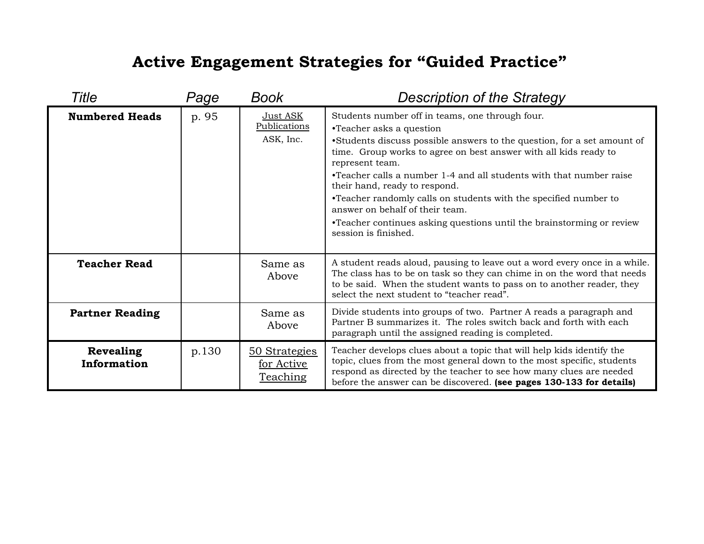| Title                           | Page  | Book                                           | <b>Description of the Strategy</b>                                                                                                                                                                                                                                                                                                                                                                                                                                                                                                                            |
|---------------------------------|-------|------------------------------------------------|---------------------------------------------------------------------------------------------------------------------------------------------------------------------------------------------------------------------------------------------------------------------------------------------------------------------------------------------------------------------------------------------------------------------------------------------------------------------------------------------------------------------------------------------------------------|
| <b>Numbered Heads</b>           | p. 95 | Just ASK<br>Publications<br>ASK, Inc.          | Students number off in teams, one through four.<br>•Teacher asks a question<br>•Students discuss possible answers to the question, for a set amount of<br>time. Group works to agree on best answer with all kids ready to<br>represent team.<br>•Teacher calls a number 1-4 and all students with that number raise<br>their hand, ready to respond.<br>•Teacher randomly calls on students with the specified number to<br>answer on behalf of their team.<br>•Teacher continues asking questions until the brainstorming or review<br>session is finished. |
| <b>Teacher Read</b>             |       | Same as<br>Above                               | A student reads aloud, pausing to leave out a word every once in a while.<br>The class has to be on task so they can chime in on the word that needs<br>to be said. When the student wants to pass on to another reader, they<br>select the next student to "teacher read".                                                                                                                                                                                                                                                                                   |
| <b>Partner Reading</b>          |       | Same as<br>Above                               | Divide students into groups of two. Partner A reads a paragraph and<br>Partner B summarizes it. The roles switch back and forth with each<br>paragraph until the assigned reading is completed.                                                                                                                                                                                                                                                                                                                                                               |
| <b>Revealing</b><br>Information | p.130 | 50 Strategies<br>for Active<br><b>Teaching</b> | Teacher develops clues about a topic that will help kids identify the<br>topic, clues from the most general down to the most specific, students<br>respond as directed by the teacher to see how many clues are needed<br>before the answer can be discovered. (see pages 130-133 for details)                                                                                                                                                                                                                                                                |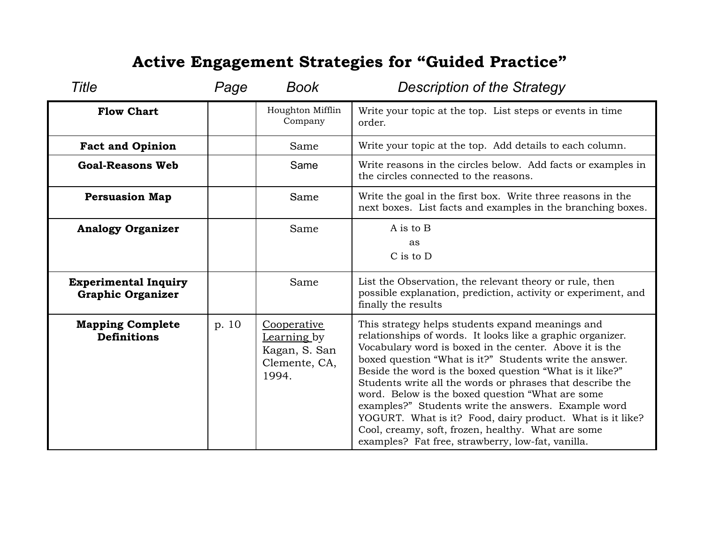| <b>Title</b>                                            | Page  | <b>Book</b>                                                           | <b>Description of the Strategy</b>                                                                                                                                                                                                                                                                                                                                                                                                                                                                                                                                                                                                               |
|---------------------------------------------------------|-------|-----------------------------------------------------------------------|--------------------------------------------------------------------------------------------------------------------------------------------------------------------------------------------------------------------------------------------------------------------------------------------------------------------------------------------------------------------------------------------------------------------------------------------------------------------------------------------------------------------------------------------------------------------------------------------------------------------------------------------------|
| <b>Flow Chart</b>                                       |       | Houghton Mifflin<br>Company                                           | Write your topic at the top. List steps or events in time<br>order.                                                                                                                                                                                                                                                                                                                                                                                                                                                                                                                                                                              |
| <b>Fact and Opinion</b>                                 |       | Same                                                                  | Write your topic at the top. Add details to each column.                                                                                                                                                                                                                                                                                                                                                                                                                                                                                                                                                                                         |
| <b>Goal-Reasons Web</b>                                 |       | Same                                                                  | Write reasons in the circles below. Add facts or examples in<br>the circles connected to the reasons.                                                                                                                                                                                                                                                                                                                                                                                                                                                                                                                                            |
| <b>Persuasion Map</b>                                   |       | Same                                                                  | Write the goal in the first box. Write three reasons in the<br>next boxes. List facts and examples in the branching boxes.                                                                                                                                                                                                                                                                                                                                                                                                                                                                                                                       |
| <b>Analogy Organizer</b>                                |       | Same                                                                  | A is to B<br>as<br>C is to D                                                                                                                                                                                                                                                                                                                                                                                                                                                                                                                                                                                                                     |
| <b>Experimental Inquiry</b><br><b>Graphic Organizer</b> |       | Same                                                                  | List the Observation, the relevant theory or rule, then<br>possible explanation, prediction, activity or experiment, and<br>finally the results                                                                                                                                                                                                                                                                                                                                                                                                                                                                                                  |
| <b>Mapping Complete</b><br><b>Definitions</b>           | p. 10 | Cooperative<br>Learning by<br>Kagan, S. San<br>Clemente, CA,<br>1994. | This strategy helps students expand meanings and<br>relationships of words. It looks like a graphic organizer.<br>Vocabulary word is boxed in the center. Above it is the<br>boxed question "What is it?" Students write the answer.<br>Beside the word is the boxed question "What is it like?"<br>Students write all the words or phrases that describe the<br>word. Below is the boxed question "What are some<br>examples?" Students write the answers. Example word<br>YOGURT. What is it? Food, dairy product. What is it like?<br>Cool, creamy, soft, frozen, healthy. What are some<br>examples? Fat free, strawberry, low-fat, vanilla. |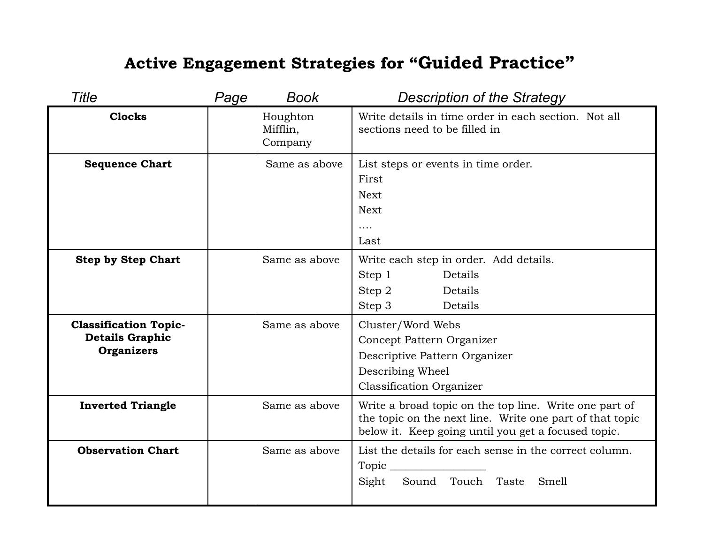| Title                                                                       | Page | <b>Book</b>                     | <b>Description of the Strategy</b>                                                                                                                                        |
|-----------------------------------------------------------------------------|------|---------------------------------|---------------------------------------------------------------------------------------------------------------------------------------------------------------------------|
| <b>Clocks</b>                                                               |      | Houghton<br>Mifflin,<br>Company | Write details in time order in each section. Not all<br>sections need to be filled in                                                                                     |
| <b>Sequence Chart</b>                                                       |      | Same as above                   | List steps or events in time order.<br>First<br><b>Next</b><br><b>Next</b><br>$\cdots$<br>Last                                                                            |
| <b>Step by Step Chart</b>                                                   |      | Same as above                   | Write each step in order. Add details.<br>Step 1<br>Details<br>Step 2<br>Details<br>Step 3<br>Details                                                                     |
| <b>Classification Topic-</b><br><b>Details Graphic</b><br><b>Organizers</b> |      | Same as above                   | Cluster/Word Webs<br>Concept Pattern Organizer<br>Descriptive Pattern Organizer<br>Describing Wheel<br><b>Classification Organizer</b>                                    |
| <b>Inverted Triangle</b>                                                    |      | Same as above                   | Write a broad topic on the top line. Write one part of<br>the topic on the next line. Write one part of that topic<br>below it. Keep going until you get a focused topic. |
| <b>Observation Chart</b>                                                    |      | Same as above                   | List the details for each sense in the correct column.<br>Sight<br>Sound Touch Taste Smell                                                                                |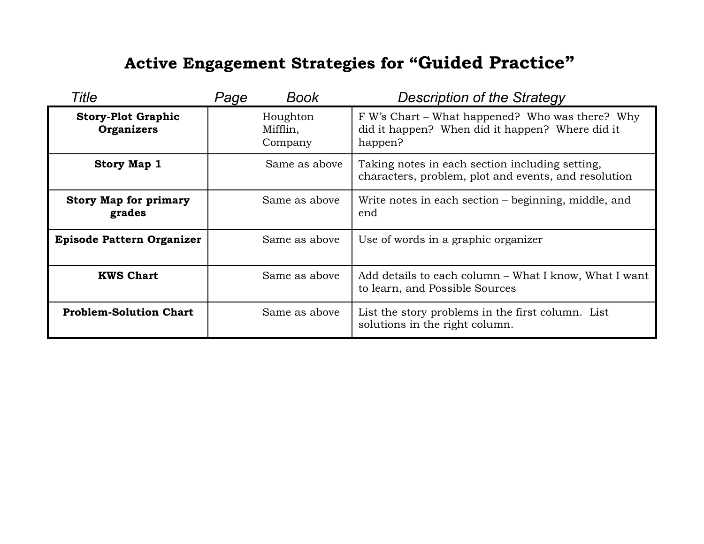| <b>Title</b>                                   | Page | <b>Book</b>                     | <b>Description of the Strategy</b>                                                                            |
|------------------------------------------------|------|---------------------------------|---------------------------------------------------------------------------------------------------------------|
| <b>Story-Plot Graphic</b><br><b>Organizers</b> |      | Houghton<br>Mifflin,<br>Company | F W's Chart – What happened? Who was there? Why<br>did it happen? When did it happen? Where did it<br>happen? |
| <b>Story Map 1</b>                             |      | Same as above                   | Taking notes in each section including setting,<br>characters, problem, plot and events, and resolution       |
| <b>Story Map for primary</b><br>grades         |      | Same as above                   | Write notes in each section – beginning, middle, and<br>end                                                   |
| <b>Episode Pattern Organizer</b>               |      | Same as above                   | Use of words in a graphic organizer                                                                           |
| <b>KWS Chart</b>                               |      | Same as above                   | Add details to each column – What I know, What I want<br>to learn, and Possible Sources                       |
| <b>Problem-Solution Chart</b>                  |      | Same as above                   | List the story problems in the first column. List<br>solutions in the right column.                           |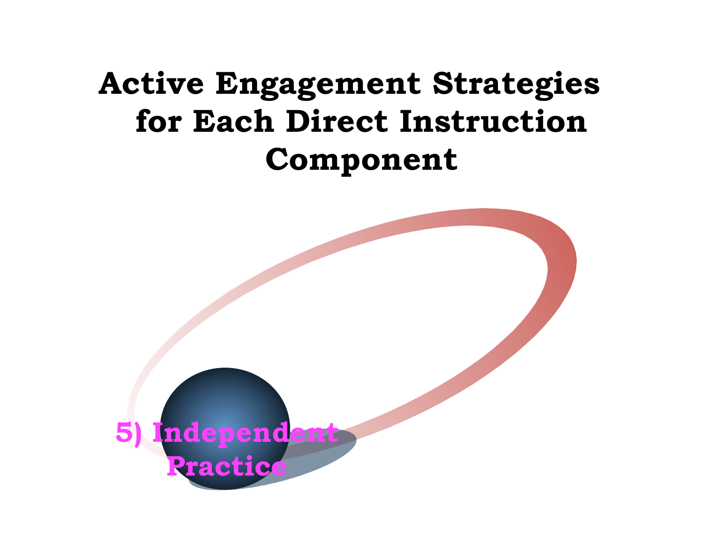## **Active Engagement Strategies for Each Direct Instruction Component**

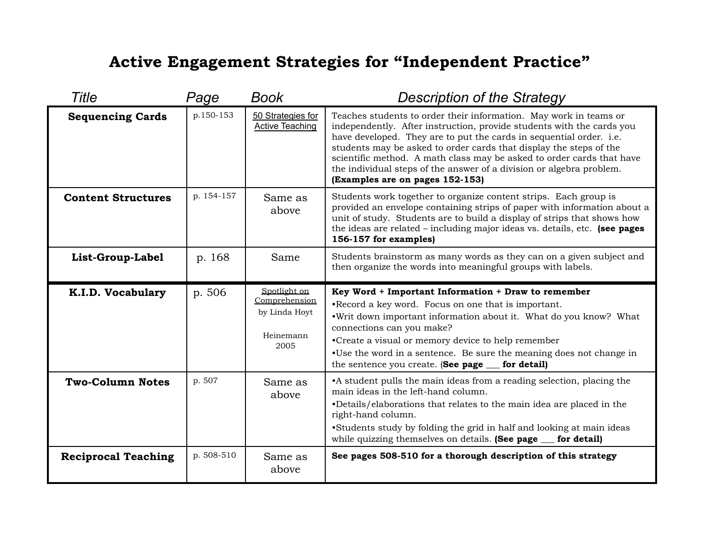#### **Active Engagement Strategies for "Independent Practice"**

| Title                      | Page       | <b>Book</b>                                                         | <b>Description of the Strategy</b>                                                                                                                                                                                                                                                                                                                                                                                                                                          |
|----------------------------|------------|---------------------------------------------------------------------|-----------------------------------------------------------------------------------------------------------------------------------------------------------------------------------------------------------------------------------------------------------------------------------------------------------------------------------------------------------------------------------------------------------------------------------------------------------------------------|
| <b>Sequencing Cards</b>    | p.150-153  | 50 Strategies for<br><b>Active Teaching</b>                         | Teaches students to order their information. May work in teams or<br>independently. After instruction, provide students with the cards you<br>have developed. They are to put the cards in sequential order. i.e.<br>students may be asked to order cards that display the steps of the<br>scientific method. A math class may be asked to order cards that have<br>the individual steps of the answer of a division or algebra problem.<br>(Examples are on pages 152-153) |
| <b>Content Structures</b>  | p. 154-157 | Same as<br>above                                                    | Students work together to organize content strips. Each group is<br>provided an envelope containing strips of paper with information about a<br>unit of study. Students are to build a display of strips that shows how<br>the ideas are related $-$ including major ideas vs. details, etc. (see pages<br>156-157 for examples)                                                                                                                                            |
| List-Group-Label           | p. 168     | Same                                                                | Students brainstorm as many words as they can on a given subject and<br>then organize the words into meaningful groups with labels.                                                                                                                                                                                                                                                                                                                                         |
| K.I.D. Vocabulary          | p. 506     | Spotlight on<br>Comprehension<br>by Linda Hoyt<br>Heinemann<br>2005 | Key Word + Important Information + Draw to remember<br>•Record a key word. Focus on one that is important.<br>.Writ down important information about it. What do you know? What<br>connections can you make?<br>•Create a visual or memory device to help remember<br>•Use the word in a sentence. Be sure the meaning does not change in<br>the sentence you create. (See page __ for detail)                                                                              |
| <b>Two-Column Notes</b>    | p. 507     | Same as<br>above                                                    | • A student pulls the main ideas from a reading selection, placing the<br>main ideas in the left-hand column.<br>•Details/elaborations that relates to the main idea are placed in the<br>right-hand column.<br>•Students study by folding the grid in half and looking at main ideas<br>while quizzing themselves on details. (See page __ for detail)                                                                                                                     |
| <b>Reciprocal Teaching</b> | p. 508-510 | Same as<br>above                                                    | See pages 508-510 for a thorough description of this strategy                                                                                                                                                                                                                                                                                                                                                                                                               |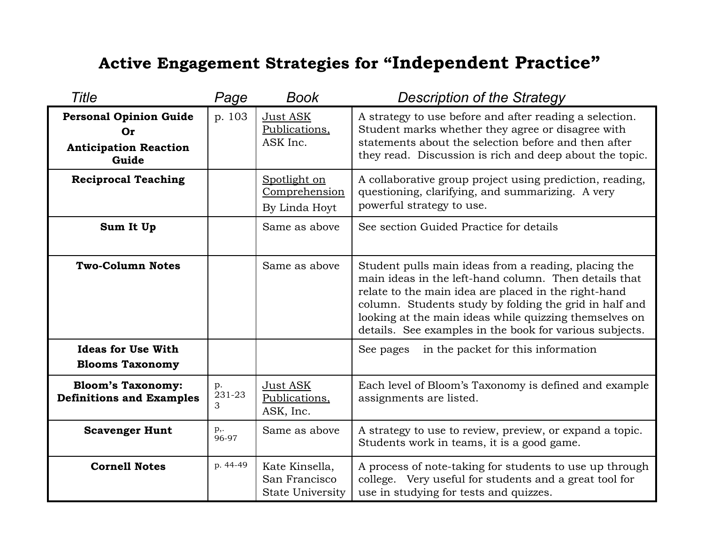## **Active Engagement Strategies for "Independent Practice"**

| Title                                                                        | Page              | <b>Book</b>                                                | <b>Description of the Strategy</b>                                                                                                                                                                                                                                                                                                                   |
|------------------------------------------------------------------------------|-------------------|------------------------------------------------------------|------------------------------------------------------------------------------------------------------------------------------------------------------------------------------------------------------------------------------------------------------------------------------------------------------------------------------------------------------|
| <b>Personal Opinion Guide</b><br>Or<br><b>Anticipation Reaction</b><br>Guide | p. 103            | Just ASK<br>Publications,<br>ASK Inc.                      | A strategy to use before and after reading a selection.<br>Student marks whether they agree or disagree with<br>statements about the selection before and then after<br>they read. Discussion is rich and deep about the topic.                                                                                                                      |
| <b>Reciprocal Teaching</b>                                                   |                   | Spotlight on<br>Comprehension<br>By Linda Hoyt             | A collaborative group project using prediction, reading,<br>questioning, clarifying, and summarizing. A very<br>powerful strategy to use.                                                                                                                                                                                                            |
| Sum It Up                                                                    |                   | Same as above                                              | See section Guided Practice for details                                                                                                                                                                                                                                                                                                              |
| <b>Two-Column Notes</b>                                                      |                   | Same as above                                              | Student pulls main ideas from a reading, placing the<br>main ideas in the left-hand column. Then details that<br>relate to the main idea are placed in the right-hand<br>column. Students study by folding the grid in half and<br>looking at the main ideas while quizzing themselves on<br>details. See examples in the book for various subjects. |
| <b>Ideas for Use With</b><br><b>Blooms Taxonomy</b>                          |                   |                                                            | in the packet for this information<br>See pages                                                                                                                                                                                                                                                                                                      |
| <b>Bloom's Taxonomy:</b><br><b>Definitions and Examples</b>                  | p.<br>231-23<br>3 | Just ASK<br>Publications.<br>ASK, Inc.                     | Each level of Bloom's Taxonomy is defined and example<br>assignments are listed.                                                                                                                                                                                                                                                                     |
| <b>Scavenger Hunt</b>                                                        | p,.<br>96-97      | Same as above                                              | A strategy to use to review, preview, or expand a topic.<br>Students work in teams, it is a good game.                                                                                                                                                                                                                                               |
| <b>Cornell Notes</b>                                                         | p. 44-49          | Kate Kinsella,<br>San Francisco<br><b>State University</b> | A process of note-taking for students to use up through<br>college. Very useful for students and a great tool for<br>use in studying for tests and quizzes.                                                                                                                                                                                          |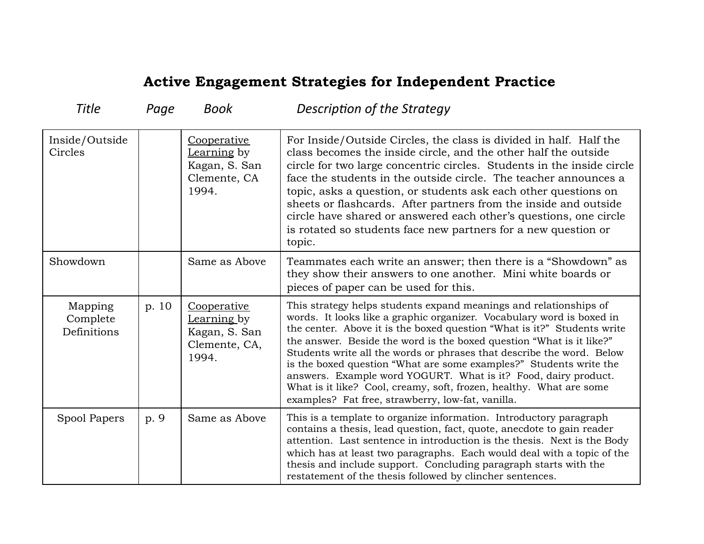#### **Active Engagement Strategies for Independent Practice**

| <b>Title</b>                       | Page  | Book                                                                  | Description of the Strategy                                                                                                                                                                                                                                                                                                                                                                                                                                                                                                                                                                                                                |
|------------------------------------|-------|-----------------------------------------------------------------------|--------------------------------------------------------------------------------------------------------------------------------------------------------------------------------------------------------------------------------------------------------------------------------------------------------------------------------------------------------------------------------------------------------------------------------------------------------------------------------------------------------------------------------------------------------------------------------------------------------------------------------------------|
| Inside/Outside<br>Circles          |       | Cooperative<br>Learning by<br>Kagan, S. San<br>Clemente, CA<br>1994.  | For Inside/Outside Circles, the class is divided in half. Half the<br>class becomes the inside circle, and the other half the outside<br>circle for two large concentric circles. Students in the inside circle<br>face the students in the outside circle. The teacher announces a<br>topic, asks a question, or students ask each other questions on<br>sheets or flashcards. After partners from the inside and outside<br>circle have shared or answered each other's questions, one circle<br>is rotated so students face new partners for a new question or<br>topic.                                                                |
| Showdown                           |       | Same as Above                                                         | Teammates each write an answer; then there is a "Showdown" as<br>they show their answers to one another. Mini white boards or<br>pieces of paper can be used for this.                                                                                                                                                                                                                                                                                                                                                                                                                                                                     |
| Mapping<br>Complete<br>Definitions | p. 10 | Cooperative<br>Learning by<br>Kagan, S. San<br>Clemente, CA,<br>1994. | This strategy helps students expand meanings and relationships of<br>words. It looks like a graphic organizer. Vocabulary word is boxed in<br>the center. Above it is the boxed question "What is it?" Students write<br>the answer. Beside the word is the boxed question "What is it like?"<br>Students write all the words or phrases that describe the word. Below<br>is the boxed question "What are some examples?" Students write the<br>answers. Example word YOGURT. What is it? Food, dairy product.<br>What is it like? Cool, creamy, soft, frozen, healthy. What are some<br>examples? Fat free, strawberry, low-fat, vanilla. |
| Spool Papers                       | p. 9  | Same as Above                                                         | This is a template to organize information. Introductory paragraph<br>contains a thesis, lead question, fact, quote, anecdote to gain reader<br>attention. Last sentence in introduction is the thesis. Next is the Body<br>which has at least two paragraphs. Each would deal with a topic of the<br>thesis and include support. Concluding paragraph starts with the<br>restatement of the thesis followed by clincher sentences.                                                                                                                                                                                                        |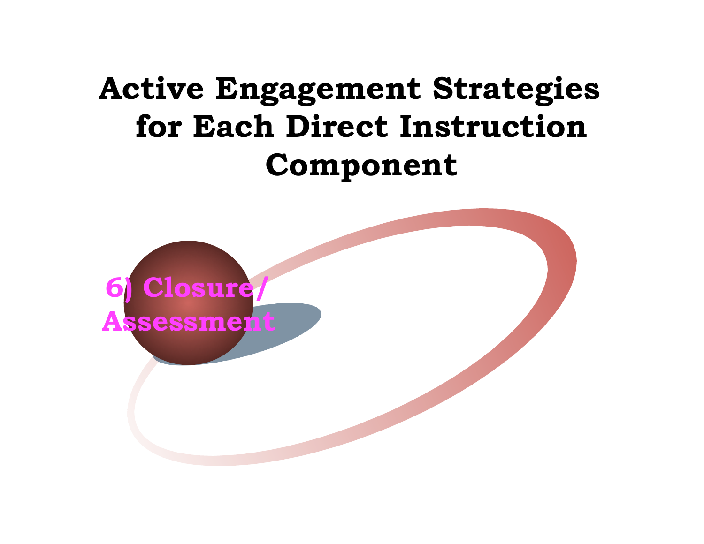# **Active Engagement Strategies for Each Direct Instruction Component**

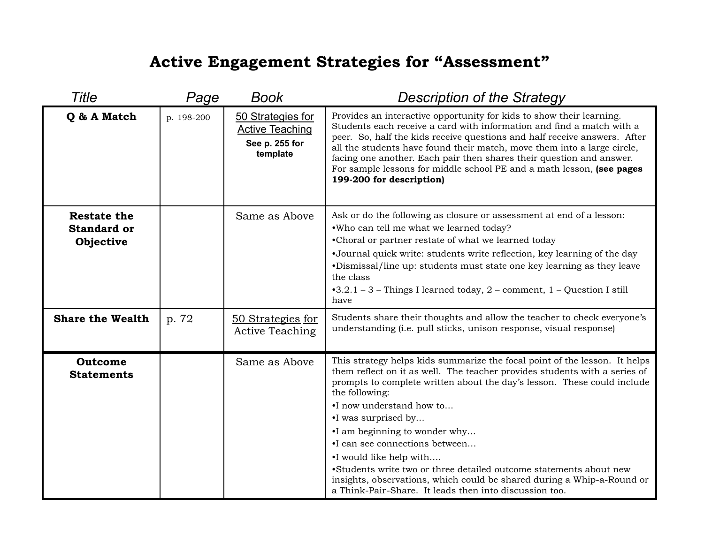## **Active Engagement Strategies for "Assessment"**

| <b>Title</b>                                          | Page       | <b>Book</b>                                                               | <b>Description of the Strategy</b>                                                                                                                                                                                                                                                                                                                                                                                                                                                                                                                                                                               |
|-------------------------------------------------------|------------|---------------------------------------------------------------------------|------------------------------------------------------------------------------------------------------------------------------------------------------------------------------------------------------------------------------------------------------------------------------------------------------------------------------------------------------------------------------------------------------------------------------------------------------------------------------------------------------------------------------------------------------------------------------------------------------------------|
| Q & A Match                                           | p. 198-200 | 50 Strategies for<br><b>Active Teaching</b><br>See p. 255 for<br>template | Provides an interactive opportunity for kids to show their learning.<br>Students each receive a card with information and find a match with a<br>peer. So, half the kids receive questions and half receive answers. After<br>all the students have found their match, move them into a large circle,<br>facing one another. Each pair then shares their question and answer.<br>For sample lessons for middle school PE and a math lesson, (see pages<br>199-200 for description)                                                                                                                               |
| <b>Restate the</b><br><b>Standard or</b><br>Objective |            | Same as Above                                                             | Ask or do the following as closure or assessment at end of a lesson:<br>.Who can tell me what we learned today?<br>•Choral or partner restate of what we learned today<br>•Journal quick write: students write reflection, key learning of the day<br>•Dismissal/line up: students must state one key learning as they leave<br>the class<br>$-3.2.1 - 3$ – Things I learned today, 2 – comment, 1 – Question I still<br>have                                                                                                                                                                                    |
| <b>Share the Wealth</b>                               | p. 72      | <u>50 Strategies for</u><br><b>Active Teaching</b>                        | Students share their thoughts and allow the teacher to check everyone's<br>understanding (i.e. pull sticks, unison response, visual response)                                                                                                                                                                                                                                                                                                                                                                                                                                                                    |
| Outcome<br><b>Statements</b>                          |            | Same as Above                                                             | This strategy helps kids summarize the focal point of the lesson. It helps<br>them reflect on it as well. The teacher provides students with a series of<br>prompts to complete written about the day's lesson. These could include<br>the following:<br>•I now understand how to<br>•I was surprised by<br>•I am beginning to wonder why<br>•I can see connections between<br>•I would like help with<br>•Students write two or three detailed outcome statements about new<br>insights, observations, which could be shared during a Whip-a-Round or<br>a Think-Pair-Share. It leads then into discussion too. |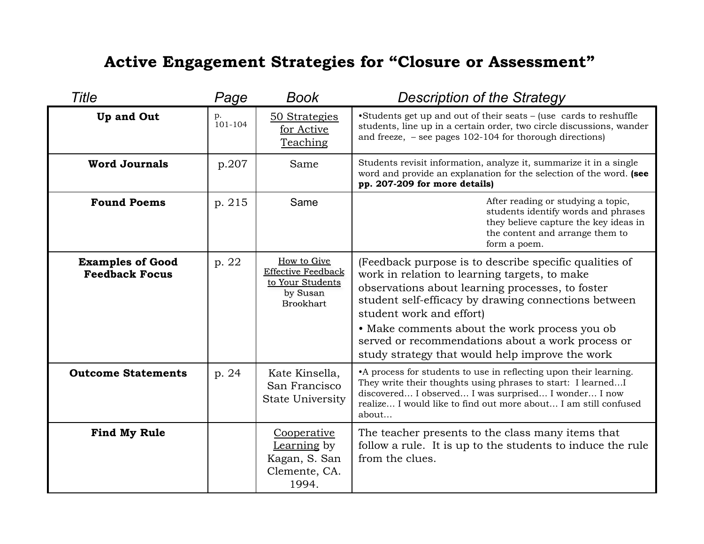#### **Active Engagement Strategies for "Closure or Assessment"**

| Title                                            | Page          | Book                                                                                         | <b>Description of the Strategy</b>                                                                                                                                                                                                                                                                                                                                                                       |
|--------------------------------------------------|---------------|----------------------------------------------------------------------------------------------|----------------------------------------------------------------------------------------------------------------------------------------------------------------------------------------------------------------------------------------------------------------------------------------------------------------------------------------------------------------------------------------------------------|
| <b>Up and Out</b>                                | p.<br>101-104 | 50 Strategies<br>for Active<br>Teaching                                                      | •Students get up and out of their seats – (use cards to reshuffle<br>students, line up in a certain order, two circle discussions, wander<br>and freeze, $-$ see pages 102-104 for thorough directions)                                                                                                                                                                                                  |
| <b>Word Journals</b>                             | p.207         | Same                                                                                         | Students revisit information, analyze it, summarize it in a single<br>word and provide an explanation for the selection of the word. (see<br>pp. 207-209 for more details)                                                                                                                                                                                                                               |
| <b>Found Poems</b>                               | p. 215        | Same                                                                                         | After reading or studying a topic,<br>students identify words and phrases<br>they believe capture the key ideas in<br>the content and arrange them to<br>form a poem.                                                                                                                                                                                                                                    |
| <b>Examples of Good</b><br><b>Feedback Focus</b> | p. 22         | How to Give<br><b>Effective Feedback</b><br>to Your Students<br>by Susan<br><b>Brookhart</b> | (Feedback purpose is to describe specific qualities of<br>work in relation to learning targets, to make<br>observations about learning processes, to foster<br>student self-efficacy by drawing connections between<br>student work and effort)<br>• Make comments about the work process you ob<br>served or recommendations about a work process or<br>study strategy that would help improve the work |
| <b>Outcome Statements</b>                        | p. 24         | Kate Kinsella,<br>San Francisco<br><b>State University</b>                                   | •A process for students to use in reflecting upon their learning.<br>They write their thoughts using phrases to start: I learned I<br>discovered I observed I was surprised I wonder I now<br>realize I would like to find out more about I am still confused<br>about                                                                                                                                   |
| <b>Find My Rule</b>                              |               | Cooperative<br>Learning by<br>Kagan, S. San<br>Clemente, CA.<br>1994.                        | The teacher presents to the class many items that<br>follow a rule. It is up to the students to induce the rule<br>from the clues.                                                                                                                                                                                                                                                                       |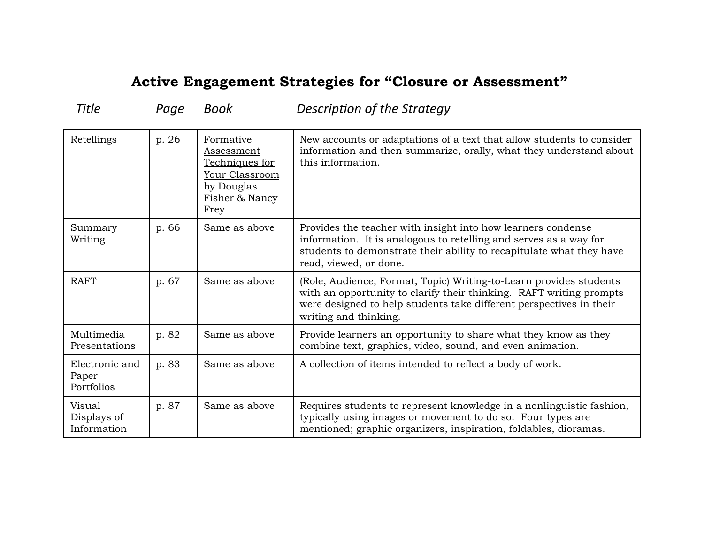#### **Active Engagement Strategies for "Closure or Assessment"**

| Retellings                            | p. 26 | Formative<br>Assessment<br>Techniques for<br>Your Classroom<br>by Douglas<br>Fisher & Nancy<br>Frey | New accounts or adaptations of a text that allow students to consider<br>information and then summarize, orally, what they understand about<br>this information.                                                                          |
|---------------------------------------|-------|-----------------------------------------------------------------------------------------------------|-------------------------------------------------------------------------------------------------------------------------------------------------------------------------------------------------------------------------------------------|
| Summary<br>Writing                    | p. 66 | Same as above                                                                                       | Provides the teacher with insight into how learners condense<br>information. It is analogous to retelling and serves as a way for<br>students to demonstrate their ability to recapitulate what they have<br>read, viewed, or done.       |
| <b>RAFT</b>                           | p. 67 | Same as above                                                                                       | (Role, Audience, Format, Topic) Writing-to-Learn provides students<br>with an opportunity to clarify their thinking. RAFT writing prompts<br>were designed to help students take different perspectives in their<br>writing and thinking. |
| Multimedia<br>Presentations           | p. 82 | Same as above                                                                                       | Provide learners an opportunity to share what they know as they<br>combine text, graphics, video, sound, and even animation.                                                                                                              |
| Electronic and<br>Paper<br>Portfolios | p. 83 | Same as above                                                                                       | A collection of items intended to reflect a body of work.                                                                                                                                                                                 |
| Visual<br>Displays of<br>Information  | p. 87 | Same as above                                                                                       | Requires students to represent knowledge in a nonlinguistic fashion,<br>typically using images or movement to do so. Four types are<br>mentioned; graphic organizers, inspiration, foldables, dioramas.                                   |

Title *Page Book* **Description of the Strategy**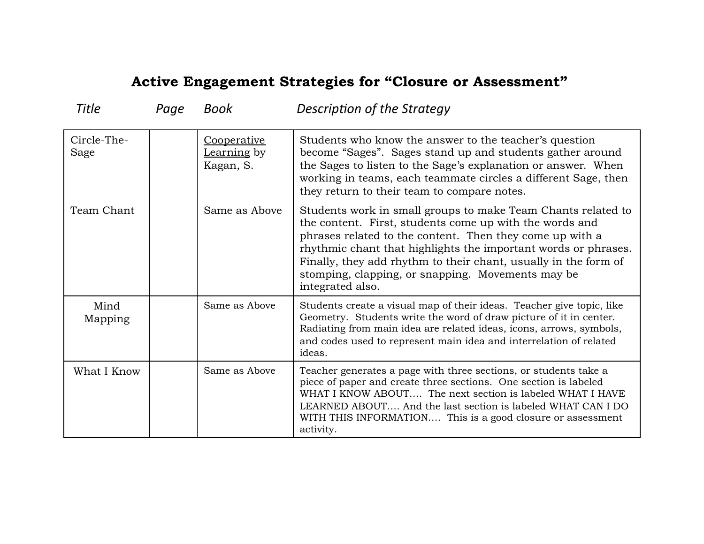#### **Active Engagement Strategies for "Closure or Assessment"**

| <b>Title</b>        | Page | Book                                    | Description of the Strategy                                                                                                                                                                                                                                                                                                                                                                       |
|---------------------|------|-----------------------------------------|---------------------------------------------------------------------------------------------------------------------------------------------------------------------------------------------------------------------------------------------------------------------------------------------------------------------------------------------------------------------------------------------------|
| Circle-The-<br>Sage |      | Cooperative<br>Learning by<br>Kagan, S. | Students who know the answer to the teacher's question<br>become "Sages". Sages stand up and students gather around<br>the Sages to listen to the Sage's explanation or answer. When<br>working in teams, each teammate circles a different Sage, then<br>they return to their team to compare notes.                                                                                             |
| Team Chant          |      | Same as Above                           | Students work in small groups to make Team Chants related to<br>the content. First, students come up with the words and<br>phrases related to the content. Then they come up with a<br>rhythmic chant that highlights the important words or phrases.<br>Finally, they add rhythm to their chant, usually in the form of<br>stomping, clapping, or snapping. Movements may be<br>integrated also. |
| Mind<br>Mapping     |      | Same as Above                           | Students create a visual map of their ideas. Teacher give topic, like<br>Geometry. Students write the word of draw picture of it in center.<br>Radiating from main idea are related ideas, icons, arrows, symbols,<br>and codes used to represent main idea and interrelation of related<br>ideas.                                                                                                |
| What I Know         |      | Same as Above                           | Teacher generates a page with three sections, or students take a<br>piece of paper and create three sections. One section is labeled<br>WHAT I KNOW ABOUT The next section is labeled WHAT I HAVE<br>LEARNED ABOUT And the last section is labeled WHAT CAN I DO<br>WITH THIS INFORMATION This is a good closure or assessment<br>activity.                                                       |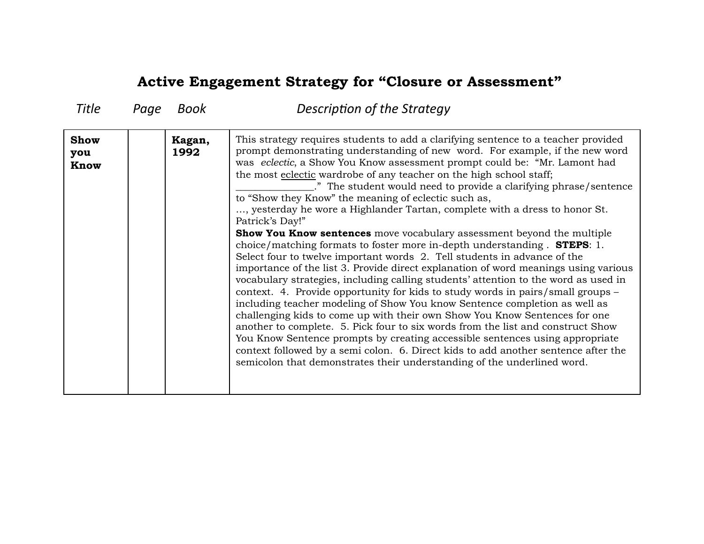#### **Active Engagement Strategy for "Closure or Assessment"**

| <b>Title</b>               | Page | Book           | Description of the Strategy                                                                                                                                                                                                                                                                                                                                                                                                                                                                                                                                                                                                                                                                                                                                                                                                                                                                                                                                                                                                                                                                                                                                                                                                                                                                                                                                                                                                                                                                                                                                      |
|----------------------------|------|----------------|------------------------------------------------------------------------------------------------------------------------------------------------------------------------------------------------------------------------------------------------------------------------------------------------------------------------------------------------------------------------------------------------------------------------------------------------------------------------------------------------------------------------------------------------------------------------------------------------------------------------------------------------------------------------------------------------------------------------------------------------------------------------------------------------------------------------------------------------------------------------------------------------------------------------------------------------------------------------------------------------------------------------------------------------------------------------------------------------------------------------------------------------------------------------------------------------------------------------------------------------------------------------------------------------------------------------------------------------------------------------------------------------------------------------------------------------------------------------------------------------------------------------------------------------------------------|
| <b>Show</b><br>you<br>Know |      | Kagan,<br>1992 | This strategy requires students to add a clarifying sentence to a teacher provided<br>prompt demonstrating understanding of new word. For example, if the new word<br>was eclectic, a Show You Know assessment prompt could be: "Mr. Lamont had<br>the most eclectic wardrobe of any teacher on the high school staff;<br>." The student would need to provide a clarifying phrase/sentence<br>to "Show they Know" the meaning of eclectic such as,<br>, yesterday he wore a Highlander Tartan, complete with a dress to honor St.<br>Patrick's Day!"<br>Show You Know sentences move vocabulary assessment beyond the multiple<br>choice/matching formats to foster more in-depth understanding. <b>STEPS</b> : 1.<br>Select four to twelve important words 2. Tell students in advance of the<br>importance of the list 3. Provide direct explanation of word meanings using various<br>vocabulary strategies, including calling students' attention to the word as used in<br>context. 4. Provide opportunity for kids to study words in pairs/small groups –<br>including teacher modeling of Show You know Sentence completion as well as<br>challenging kids to come up with their own Show You Know Sentences for one<br>another to complete. 5. Pick four to six words from the list and construct Show<br>You Know Sentence prompts by creating accessible sentences using appropriate<br>context followed by a semi colon. 6. Direct kids to add another sentence after the<br>semicolon that demonstrates their understanding of the underlined word. |